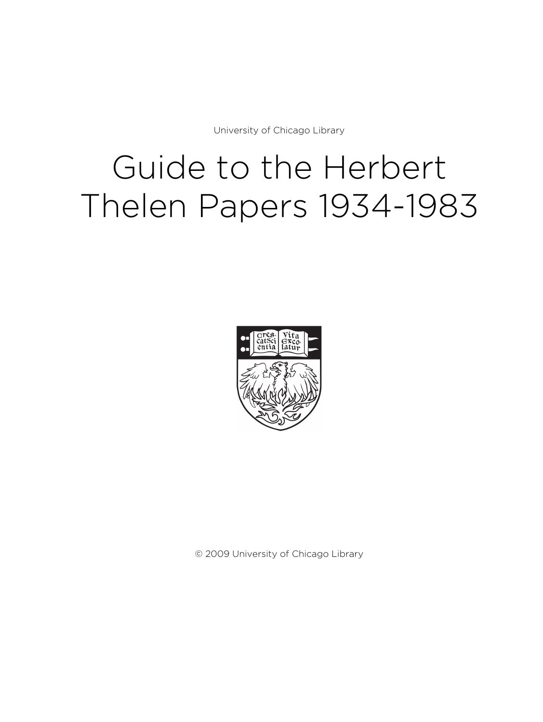University of Chicago Library

# Guide to the Herbert Thelen Papers 1934-1983



© 2009 University of Chicago Library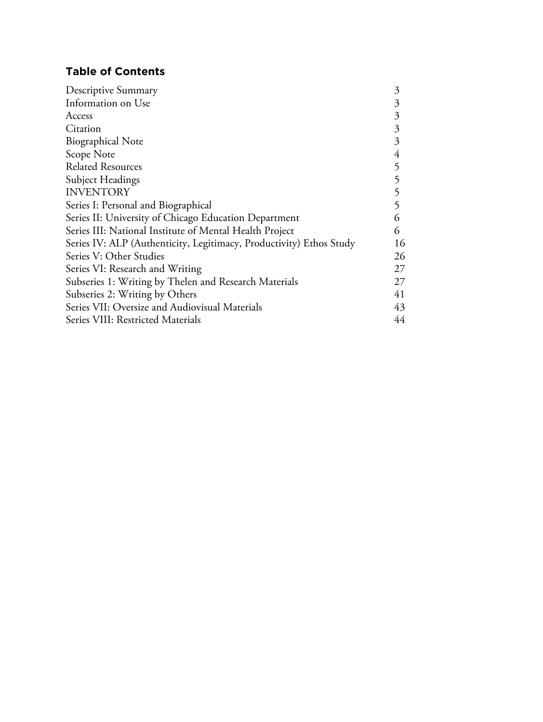# **Table of Contents**

| Descriptive Summary                                                 |    |
|---------------------------------------------------------------------|----|
| Information on Use                                                  | 3  |
| Access                                                              | 3  |
| Citation                                                            | 3  |
| <b>Biographical Note</b>                                            | 3  |
| Scope Note                                                          | 4  |
| <b>Related Resources</b>                                            | 5  |
| Subject Headings                                                    | 5  |
| <b>INVENTORY</b>                                                    | 5  |
| Series I: Personal and Biographical                                 | 5  |
| Series II: University of Chicago Education Department               | 6  |
| Series III: National Institute of Mental Health Project             | 6  |
| Series IV: ALP (Authenticity, Legitimacy, Productivity) Ethos Study | 16 |
| Series V: Other Studies                                             | 26 |
| Series VI: Research and Writing                                     | 27 |
| Subseries 1: Writing by Thelen and Research Materials               | 27 |
| Subseries 2: Writing by Others                                      | 41 |
| Series VII: Oversize and Audiovisual Materials                      | 43 |
| Series VIII: Restricted Materials                                   |    |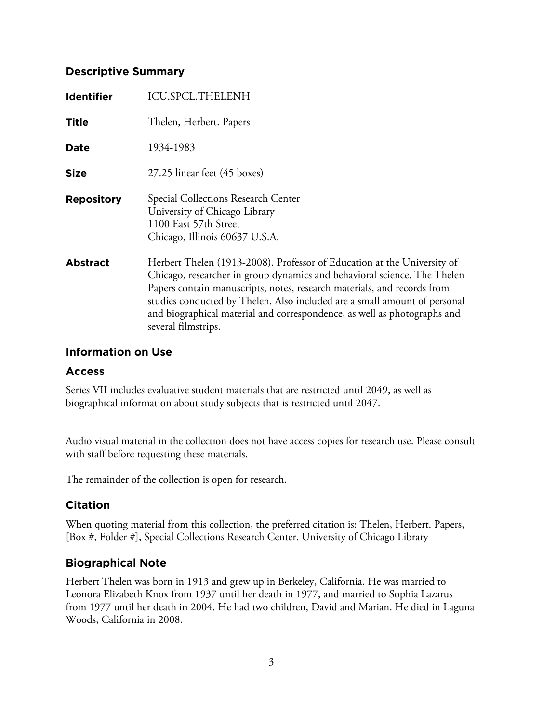# **Descriptive Summary**

| <b>Identifier</b> | <b>ICU.SPCL.THELENH</b>                                                                                                                                                                                                                                                                                                                                                                                        |
|-------------------|----------------------------------------------------------------------------------------------------------------------------------------------------------------------------------------------------------------------------------------------------------------------------------------------------------------------------------------------------------------------------------------------------------------|
| <b>Title</b>      | Thelen, Herbert. Papers                                                                                                                                                                                                                                                                                                                                                                                        |
| Date              | 1934-1983                                                                                                                                                                                                                                                                                                                                                                                                      |
| <b>Size</b>       | 27.25 linear feet (45 boxes)                                                                                                                                                                                                                                                                                                                                                                                   |
| <b>Repository</b> | Special Collections Research Center<br>University of Chicago Library<br>1100 East 57th Street<br>Chicago, Illinois 60637 U.S.A.                                                                                                                                                                                                                                                                                |
| <b>Abstract</b>   | Herbert Thelen (1913-2008). Professor of Education at the University of<br>Chicago, researcher in group dynamics and behavioral science. The Thelen<br>Papers contain manuscripts, notes, research materials, and records from<br>studies conducted by Thelen. Also included are a small amount of personal<br>and biographical material and correspondence, as well as photographs and<br>several filmstrips. |

### **Information on Use**

### **Access**

Series VII includes evaluative student materials that are restricted until 2049, as well as biographical information about study subjects that is restricted until 2047.

Audio visual material in the collection does not have access copies for research use. Please consult with staff before requesting these materials.

The remainder of the collection is open for research.

# **Citation**

When quoting material from this collection, the preferred citation is: Thelen, Herbert. Papers, [Box #, Folder #], Special Collections Research Center, University of Chicago Library

# **Biographical Note**

Herbert Thelen was born in 1913 and grew up in Berkeley, California. He was married to Leonora Elizabeth Knox from 1937 until her death in 1977, and married to Sophia Lazarus from 1977 until her death in 2004. He had two children, David and Marian. He died in Laguna Woods, California in 2008.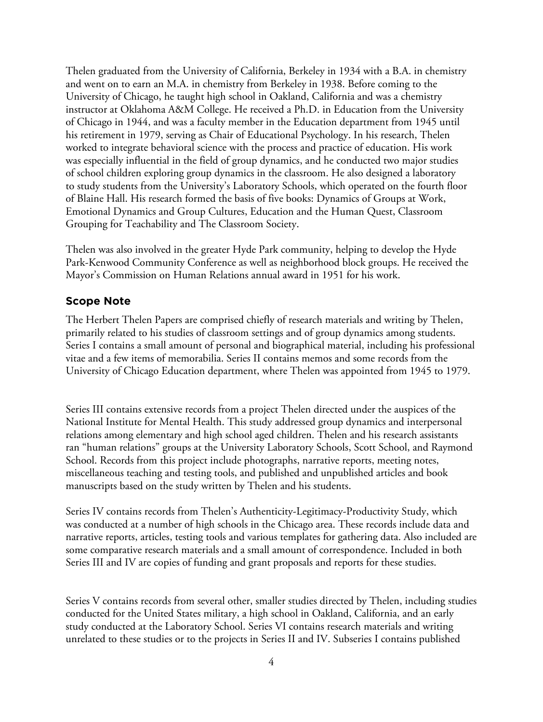Thelen graduated from the University of California, Berkeley in 1934 with a B.A. in chemistry and went on to earn an M.A. in chemistry from Berkeley in 1938. Before coming to the University of Chicago, he taught high school in Oakland, California and was a chemistry instructor at Oklahoma A&M College. He received a Ph.D. in Education from the University of Chicago in 1944, and was a faculty member in the Education department from 1945 until his retirement in 1979, serving as Chair of Educational Psychology. In his research, Thelen worked to integrate behavioral science with the process and practice of education. His work was especially influential in the field of group dynamics, and he conducted two major studies of school children exploring group dynamics in the classroom. He also designed a laboratory to study students from the University's Laboratory Schools, which operated on the fourth floor of Blaine Hall. His research formed the basis of five books: Dynamics of Groups at Work, Emotional Dynamics and Group Cultures, Education and the Human Quest, Classroom Grouping for Teachability and The Classroom Society.

Thelen was also involved in the greater Hyde Park community, helping to develop the Hyde Park-Kenwood Community Conference as well as neighborhood block groups. He received the Mayor's Commission on Human Relations annual award in 1951 for his work.

# **Scope Note**

The Herbert Thelen Papers are comprised chiefly of research materials and writing by Thelen, primarily related to his studies of classroom settings and of group dynamics among students. Series I contains a small amount of personal and biographical material, including his professional vitae and a few items of memorabilia. Series II contains memos and some records from the University of Chicago Education department, where Thelen was appointed from 1945 to 1979.

Series III contains extensive records from a project Thelen directed under the auspices of the National Institute for Mental Health. This study addressed group dynamics and interpersonal relations among elementary and high school aged children. Thelen and his research assistants ran "human relations" groups at the University Laboratory Schools, Scott School, and Raymond School. Records from this project include photographs, narrative reports, meeting notes, miscellaneous teaching and testing tools, and published and unpublished articles and book manuscripts based on the study written by Thelen and his students.

Series IV contains records from Thelen's Authenticity-Legitimacy-Productivity Study, which was conducted at a number of high schools in the Chicago area. These records include data and narrative reports, articles, testing tools and various templates for gathering data. Also included are some comparative research materials and a small amount of correspondence. Included in both Series III and IV are copies of funding and grant proposals and reports for these studies.

Series V contains records from several other, smaller studies directed by Thelen, including studies conducted for the United States military, a high school in Oakland, California, and an early study conducted at the Laboratory School. Series VI contains research materials and writing unrelated to these studies or to the projects in Series II and IV. Subseries I contains published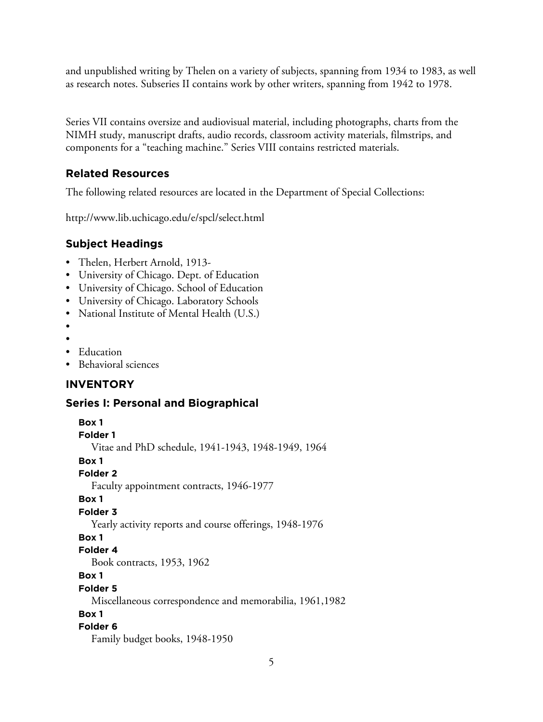and unpublished writing by Thelen on a variety of subjects, spanning from 1934 to 1983, as well as research notes. Subseries II contains work by other writers, spanning from 1942 to 1978.

Series VII contains oversize and audiovisual material, including photographs, charts from the NIMH study, manuscript drafts, audio records, classroom activity materials, filmstrips, and components for a "teaching machine." Series VIII contains restricted materials.

# **Related Resources**

The following related resources are located in the Department of Special Collections:

http://www.lib.uchicago.edu/e/spcl/select.html

### **Subject Headings**

- Thelen, Herbert Arnold, 1913-
- University of Chicago. Dept. of Education
- University of Chicago. School of Education
- University of Chicago. Laboratory Schools
- National Institute of Mental Health (U.S.)
- •
- •
- Education
- Behavioral sciences

### **INVENTORY**

#### **Series I: Personal and Biographical**

```
Box 1
Folder 1
   Vitae and PhD schedule, 1941-1943, 1948-1949, 1964
Box 1
Folder 2
   Faculty appointment contracts, 1946-1977
Box 1
Folder 3
   Yearly activity reports and course offerings, 1948-1976
Box 1
Folder 4
   Book contracts, 1953, 1962
Box 1
Folder 5
   Miscellaneous correspondence and memorabilia, 1961,1982
Box 1
Folder 6
   Family budget books, 1948-1950
```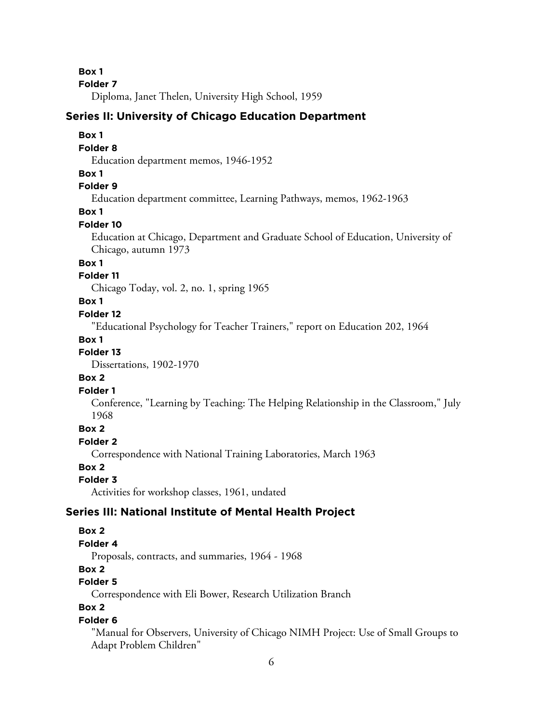**Folder 7**

Diploma, Janet Thelen, University High School, 1959

# **Series II: University of Chicago Education Department**

# **Box 1**

### **Folder 8**

Education department memos, 1946-1952

### **Box 1**

### **Folder 9**

Education department committee, Learning Pathways, memos, 1962-1963

### **Box 1**

### **Folder 10**

Education at Chicago, Department and Graduate School of Education, University of Chicago, autumn 1973

# **Box 1**

# **Folder 11**

Chicago Today, vol. 2, no. 1, spring 1965

### **Box 1**

### **Folder 12**

"Educational Psychology for Teacher Trainers," report on Education 202, 1964

# **Box 1**

# **Folder 13**

Dissertations, 1902-1970

### **Box 2**

### **Folder 1**

Conference, "Learning by Teaching: The Helping Relationship in the Classroom," July 1968

# **Box 2**

# **Folder 2**

Correspondence with National Training Laboratories, March 1963

# **Box 2**

### **Folder 3**

Activities for workshop classes, 1961, undated

# **Series III: National Institute of Mental Health Project**

# **Box 2**

# **Folder 4**

Proposals, contracts, and summaries, 1964 - 1968

# **Box 2**

# **Folder 5**

Correspondence with Eli Bower, Research Utilization Branch

# **Box 2**

### **Folder 6**

"Manual for Observers, University of Chicago NIMH Project: Use of Small Groups to Adapt Problem Children"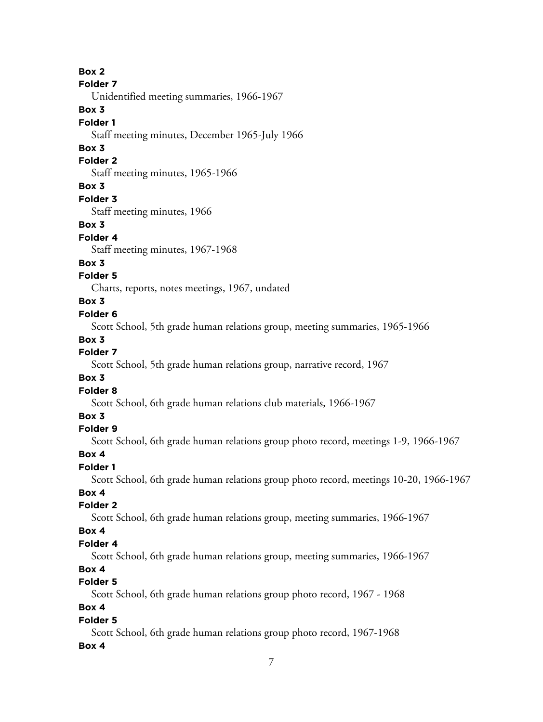**Folder 7**

Unidentified meeting summaries, 1966-1967

# **Box 3**

# **Folder 1**

Staff meeting minutes, December 1965-July 1966

# **Box 3**

# **Folder 2**

Staff meeting minutes, 1965-1966

# **Box 3**

**Folder 3**

Staff meeting minutes, 1966

# **Box 3**

# **Folder 4**

Staff meeting minutes, 1967-1968

# **Box 3**

# **Folder 5**

Charts, reports, notes meetings, 1967, undated

# **Box 3**

# **Folder 6**

Scott School, 5th grade human relations group, meeting summaries, 1965-1966

# **Box 3**

# **Folder 7**

Scott School, 5th grade human relations group, narrative record, 1967

# **Box 3**

# **Folder 8**

Scott School, 6th grade human relations club materials, 1966-1967

# **Box 3**

# **Folder 9**

Scott School, 6th grade human relations group photo record, meetings 1-9, 1966-1967

# **Box 4**

# **Folder 1**

Scott School, 6th grade human relations group photo record, meetings 10-20, 1966-1967

# **Box 4**

# **Folder 2**

Scott School, 6th grade human relations group, meeting summaries, 1966-1967

# **Box 4**

# **Folder 4**

Scott School, 6th grade human relations group, meeting summaries, 1966-1967

# **Box 4**

# **Folder 5**

Scott School, 6th grade human relations group photo record, 1967 - 1968

# **Box 4**

# **Folder 5**

Scott School, 6th grade human relations group photo record, 1967-1968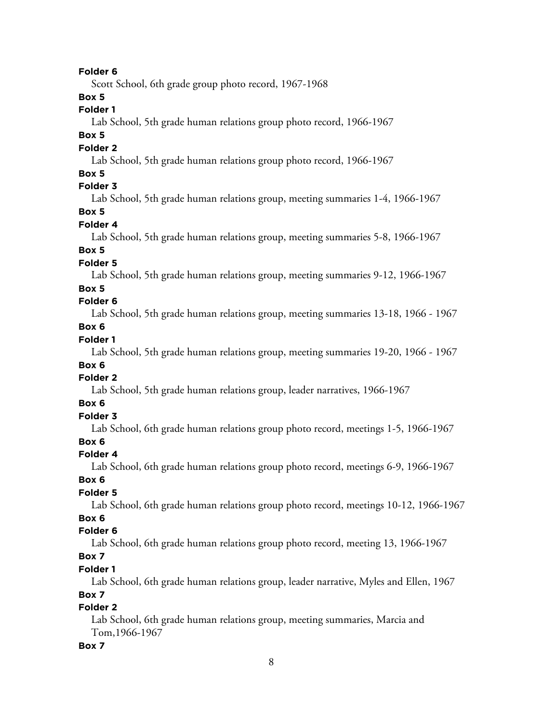Scott School, 6th grade group photo record, 1967-1968

# **Box 5**

# **Folder 1**

Lab School, 5th grade human relations group photo record, 1966-1967

# **Box 5**

### **Folder 2**

Lab School, 5th grade human relations group photo record, 1966-1967

# **Box 5**

# **Folder 3**

Lab School, 5th grade human relations group, meeting summaries 1-4, 1966-1967

# **Box 5**

# **Folder 4**

Lab School, 5th grade human relations group, meeting summaries 5-8, 1966-1967

# **Box 5**

# **Folder 5**

Lab School, 5th grade human relations group, meeting summaries 9-12, 1966-1967

# **Box 5**

# **Folder 6**

Lab School, 5th grade human relations group, meeting summaries 13-18, 1966 - 1967

# **Box 6**

# **Folder 1**

Lab School, 5th grade human relations group, meeting summaries 19-20, 1966 - 1967

# **Box 6**

# **Folder 2**

Lab School, 5th grade human relations group, leader narratives, 1966-1967

# **Box 6**

# **Folder 3**

Lab School, 6th grade human relations group photo record, meetings 1-5, 1966-1967

# **Box 6**

# **Folder 4**

Lab School, 6th grade human relations group photo record, meetings 6-9, 1966-1967

# **Box 6**

# **Folder 5**

Lab School, 6th grade human relations group photo record, meetings 10-12, 1966-1967

# **Box 6**

# **Folder 6**

Lab School, 6th grade human relations group photo record, meeting 13, 1966-1967

# **Box 7**

# **Folder 1**

Lab School, 6th grade human relations group, leader narrative, Myles and Ellen, 1967

# **Box 7**

# **Folder 2**

Lab School, 6th grade human relations group, meeting summaries, Marcia and Tom,1966-1967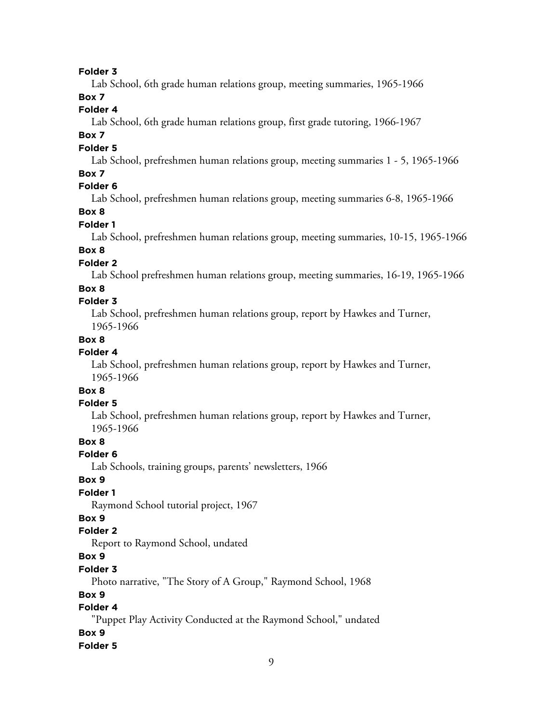Lab School, 6th grade human relations group, meeting summaries, 1965-1966

# **Box 7**

# **Folder 4**

Lab School, 6th grade human relations group, first grade tutoring, 1966-1967

# **Box 7**

### **Folder 5**

Lab School, prefreshmen human relations group, meeting summaries 1 - 5, 1965-1966

### **Box 7**

# **Folder 6**

Lab School, prefreshmen human relations group, meeting summaries 6-8, 1965-1966

# **Box 8**

### **Folder 1**

Lab School, prefreshmen human relations group, meeting summaries, 10-15, 1965-1966

# **Box 8**

# **Folder 2**

Lab School prefreshmen human relations group, meeting summaries, 16-19, 1965-1966

#### **Box 8**

# **Folder 3**

Lab School, prefreshmen human relations group, report by Hawkes and Turner, 1965-1966

# **Box 8**

# **Folder 4**

Lab School, prefreshmen human relations group, report by Hawkes and Turner, 1965-1966

# **Box 8**

#### **Folder 5**

Lab School, prefreshmen human relations group, report by Hawkes and Turner, 1965-1966

# **Box 8**

### **Folder 6**

Lab Schools, training groups, parents' newsletters, 1966

### **Box 9**

# **Folder 1**

Raymond School tutorial project, 1967

# **Box 9**

#### **Folder 2**

Report to Raymond School, undated

# **Box 9**

### **Folder 3**

Photo narrative, "The Story of A Group," Raymond School, 1968

# **Box 9**

# **Folder 4**

"Puppet Play Activity Conducted at the Raymond School," undated

### **Box 9**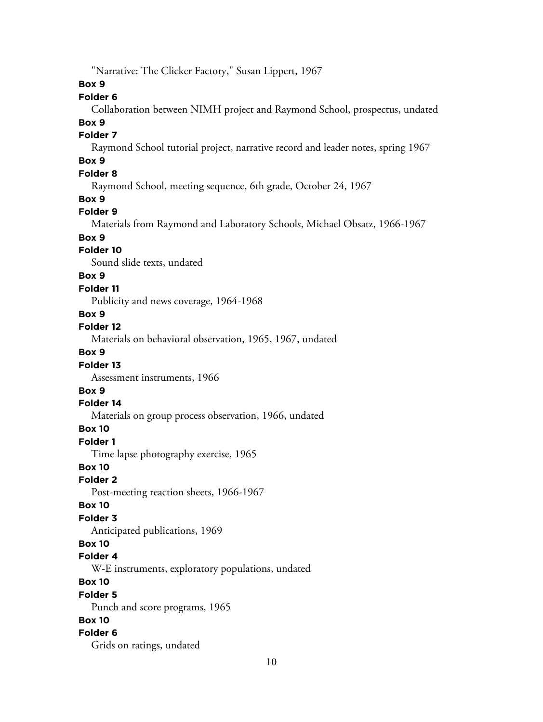"Narrative: The Clicker Factory," Susan Lippert, 1967

**Box 9**

# **Folder 6**

Collaboration between NIMH project and Raymond School, prospectus, undated

#### **Box 9**

# **Folder 7**

Raymond School tutorial project, narrative record and leader notes, spring 1967

# **Box 9**

# **Folder 8**

Raymond School, meeting sequence, 6th grade, October 24, 1967

### **Box 9**

### **Folder 9**

Materials from Raymond and Laboratory Schools, Michael Obsatz, 1966-1967

# **Box 9**

### **Folder 10**

Sound slide texts, undated

#### **Box 9**

#### **Folder 11**

Publicity and news coverage, 1964-1968

### **Box 9**

# **Folder 12**

Materials on behavioral observation, 1965, 1967, undated

# **Box 9**

#### **Folder 13**

Assessment instruments, 1966

# **Box 9**

#### **Folder 14**

Materials on group process observation, 1966, undated

# **Box 10**

**Folder 1**

Time lapse photography exercise, 1965

# **Box 10**

#### **Folder 2**

Post-meeting reaction sheets, 1966-1967

#### **Box 10**

#### **Folder 3**

Anticipated publications, 1969

#### **Box 10**

#### **Folder 4**

W-E instruments, exploratory populations, undated

# **Box 10**

#### **Folder 5**

Punch and score programs, 1965

# **Box 10**

### **Folder 6**

Grids on ratings, undated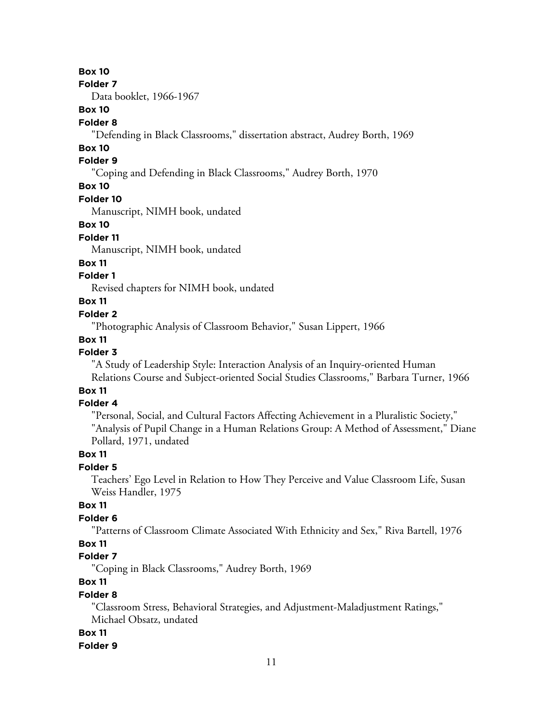**Folder 7**

Data booklet, 1966-1967

# **Box 10**

#### **Folder 8**

"Defending in Black Classrooms," dissertation abstract, Audrey Borth, 1969

# **Box 10**

### **Folder 9**

"Coping and Defending in Black Classrooms," Audrey Borth, 1970

# **Box 10**

### **Folder 10**

Manuscript, NIMH book, undated

### **Box 10**

### **Folder 11**

Manuscript, NIMH book, undated

# **Box 11**

# **Folder 1**

Revised chapters for NIMH book, undated

### **Box 11**

### **Folder 2**

"Photographic Analysis of Classroom Behavior," Susan Lippert, 1966

# **Box 11**

# **Folder 3**

"A Study of Leadership Style: Interaction Analysis of an Inquiry-oriented Human Relations Course and Subject-oriented Social Studies Classrooms," Barbara Turner, 1966

# **Box 11**

# **Folder 4**

"Personal, Social, and Cultural Factors Affecting Achievement in a Pluralistic Society," "Analysis of Pupil Change in a Human Relations Group: A Method of Assessment," Diane Pollard, 1971, undated

# **Box 11**

# **Folder 5**

Teachers' Ego Level in Relation to How They Perceive and Value Classroom Life, Susan Weiss Handler, 1975

# **Box 11**

# **Folder 6**

"Patterns of Classroom Climate Associated With Ethnicity and Sex," Riva Bartell, 1976

# **Box 11**

# **Folder 7**

"Coping in Black Classrooms," Audrey Borth, 1969

# **Box 11**

### **Folder 8**

"Classroom Stress, Behavioral Strategies, and Adjustment-Maladjustment Ratings," Michael Obsatz, undated

### **Box 11**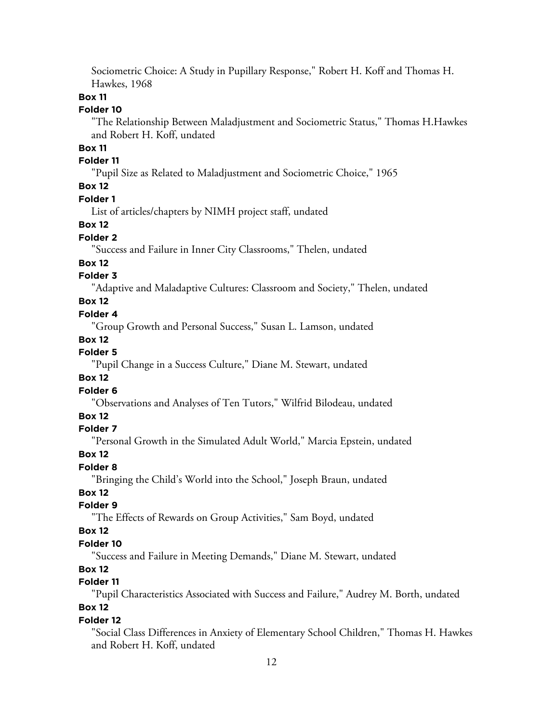Sociometric Choice: A Study in Pupillary Response," Robert H. Koff and Thomas H. Hawkes, 1968

### **Box 11**

### **Folder 10**

"The Relationship Between Maladjustment and Sociometric Status," Thomas H.Hawkes and Robert H. Koff, undated

# **Box 11**

# **Folder 11**

"Pupil Size as Related to Maladjustment and Sociometric Choice," 1965

# **Box 12**

#### **Folder 1**

List of articles/chapters by NIMH project staff, undated

### **Box 12**

### **Folder 2**

"Success and Failure in Inner City Classrooms," Thelen, undated

### **Box 12**

### **Folder 3**

"Adaptive and Maladaptive Cultures: Classroom and Society," Thelen, undated

# **Box 12**

# **Folder 4**

"Group Growth and Personal Success," Susan L. Lamson, undated

#### **Box 12**

# **Folder 5**

"Pupil Change in a Success Culture," Diane M. Stewart, undated

### **Box 12**

# **Folder 6**

"Observations and Analyses of Ten Tutors," Wilfrid Bilodeau, undated

# **Box 12**

#### **Folder 7**

"Personal Growth in the Simulated Adult World," Marcia Epstein, undated

#### **Box 12**

### **Folder 8**

"Bringing the Child's World into the School," Joseph Braun, undated

# **Box 12**

# **Folder 9**

"The Effects of Rewards on Group Activities," Sam Boyd, undated

### **Box 12**

#### **Folder 10**

"Success and Failure in Meeting Demands," Diane M. Stewart, undated

### **Box 12**

# **Folder 11**

"Pupil Characteristics Associated with Success and Failure," Audrey M. Borth, undated

# **Box 12**

# **Folder 12**

"Social Class Differences in Anxiety of Elementary School Children," Thomas H. Hawkes and Robert H. Koff, undated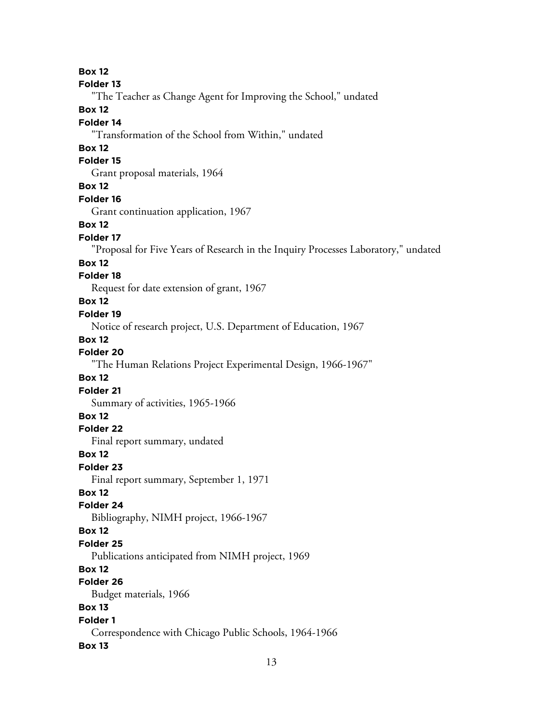#### **Folder 13**

"The Teacher as Change Agent for Improving the School," undated

# **Box 12**

# **Folder 14**

"Transformation of the School from Within," undated

# **Box 12**

# **Folder 15**

Grant proposal materials, 1964

### **Box 12**

#### **Folder 16**

Grant continuation application, 1967

#### **Box 12**

#### **Folder 17**

"Proposal for Five Years of Research in the Inquiry Processes Laboratory," undated

#### **Box 12**

### **Folder 18**

Request for date extension of grant, 1967

#### **Box 12**

#### **Folder 19**

Notice of research project, U.S. Department of Education, 1967

### **Box 12**

# **Folder 20**

"The Human Relations Project Experimental Design, 1966-1967"

### **Box 12**

#### **Folder 21**

Summary of activities, 1965-1966

# **Box 12**

# **Folder 22**

Final report summary, undated

### **Box 12**

**Folder 23**

Final report summary, September 1, 1971

# **Box 12**

#### **Folder 24**

Bibliography, NIMH project, 1966-1967

#### **Box 12**

### **Folder 25**

Publications anticipated from NIMH project, 1969

# **Box 12**

# **Folder 26**

Budget materials, 1966

# **Box 13**

# **Folder 1**

Correspondence with Chicago Public Schools, 1964-1966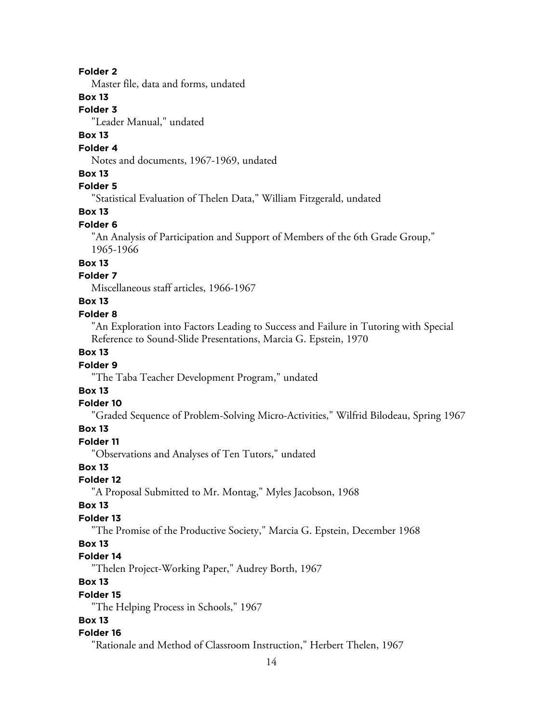Master file, data and forms, undated

# **Box 13**

**Folder 3**

"Leader Manual," undated

# **Box 13**

# **Folder 4**

Notes and documents, 1967-1969, undated

### **Box 13**

# **Folder 5**

"Statistical Evaluation of Thelen Data," William Fitzgerald, undated

### **Box 13**

### **Folder 6**

"An Analysis of Participation and Support of Members of the 6th Grade Group," 1965-1966

# **Box 13**

# **Folder 7**

Miscellaneous staff articles, 1966-1967

# **Box 13**

# **Folder 8**

"An Exploration into Factors Leading to Success and Failure in Tutoring with Special Reference to Sound-Slide Presentations, Marcia G. Epstein, 1970

# **Box 13**

### **Folder 9**

"The Taba Teacher Development Program," undated

# **Box 13**

#### **Folder 10**

"Graded Sequence of Problem-Solving Micro-Activities," Wilfrid Bilodeau, Spring 1967

### **Box 13**

# **Folder 11**

"Observations and Analyses of Ten Tutors," undated

### **Box 13**

# **Folder 12**

"A Proposal Submitted to Mr. Montag," Myles Jacobson, 1968

#### **Box 13**

#### **Folder 13**

"The Promise of the Productive Society," Marcia G. Epstein, December 1968

# **Box 13**

# **Folder 14**

"Thelen Project-Working Paper," Audrey Borth, 1967

# **Box 13**

#### **Folder 15**

"The Helping Process in Schools," 1967

#### **Box 13**

#### **Folder 16**

"Rationale and Method of Classroom Instruction," Herbert Thelen, 1967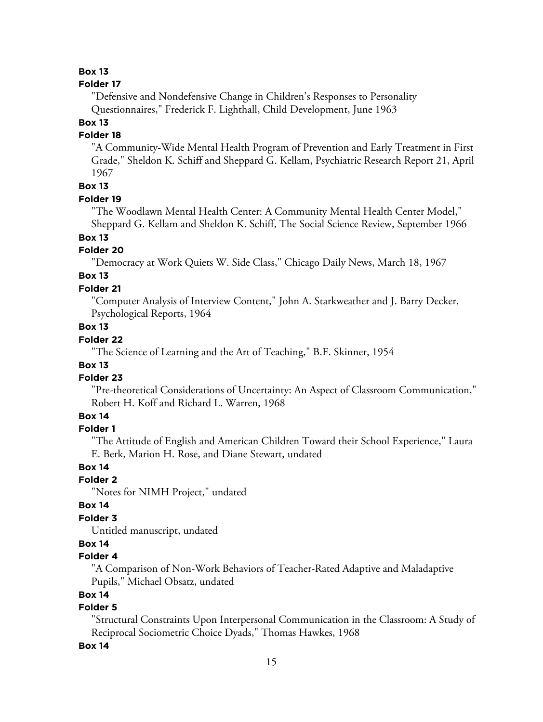#### **Folder 17**

"Defensive and Nondefensive Change in Children's Responses to Personality Questionnaires," Frederick F. Lighthall, Child Development, June 1963

# **Box 13**

### **Folder 18**

"A Community-Wide Mental Health Program of Prevention and Early Treatment in First Grade," Sheldon K. Schiff and Sheppard G. Kellam, Psychiatric Research Report 21, April 1967

# **Box 13**

### **Folder 19**

"The Woodlawn Mental Health Center: A Community Mental Health Center Model," Sheppard G. Kellam and Sheldon K. Schiff, The Social Science Review, September 1966

# **Box 13**

# **Folder 20**

"Democracy at Work Quiets W. Side Class," Chicago Daily News, March 18, 1967

# **Box 13**

### **Folder 21**

"Computer Analysis of Interview Content," John A. Starkweather and J. Barry Decker, Psychological Reports, 1964

# **Box 13**

# **Folder 22**

"The Science of Learning and the Art of Teaching," B.F. Skinner, 1954

# **Box 13**

### **Folder 23**

"Pre-theoretical Considerations of Uncertainty: An Aspect of Classroom Communication," Robert H. Koff and Richard L. Warren, 1968

# **Box 14**

#### **Folder 1**

"The Attitude of English and American Children Toward their School Experience," Laura E. Berk, Marion H. Rose, and Diane Stewart, undated

### **Box 14**

# **Folder 2**

"Notes for NIMH Project," undated

### **Box 14**

# **Folder 3**

Untitled manuscript, undated

### **Box 14**

# **Folder 4**

"A Comparison of Non-Work Behaviors of Teacher-Rated Adaptive and Maladaptive Pupils," Michael Obsatz, undated

# **Box 14**

# **Folder 5**

"Structural Constraints Upon Interpersonal Communication in the Classroom: A Study of Reciprocal Sociometric Choice Dyads," Thomas Hawkes, 1968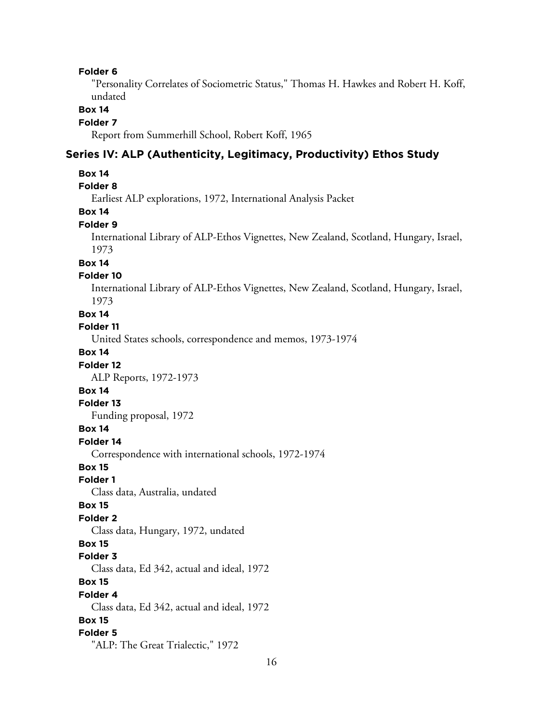"Personality Correlates of Sociometric Status," Thomas H. Hawkes and Robert H. Koff, undated

#### **Box 14**

#### **Folder 7**

Report from Summerhill School, Robert Koff, 1965

# **Series IV: ALP (Authenticity, Legitimacy, Productivity) Ethos Study**

#### **Box 14**

# **Folder 8**

Earliest ALP explorations, 1972, International Analysis Packet

# **Box 14**

### **Folder 9**

International Library of ALP-Ethos Vignettes, New Zealand, Scotland, Hungary, Israel, 1973

#### **Box 14**

#### **Folder 10**

International Library of ALP-Ethos Vignettes, New Zealand, Scotland, Hungary, Israel, 1973

#### **Box 14**

#### **Folder 11**

United States schools, correspondence and memos, 1973-1974

### **Box 14**

### **Folder 12**

ALP Reports, 1972-1973

### **Box 14**

#### **Folder 13**

Funding proposal, 1972

#### **Box 14**

**Folder 14**

Correspondence with international schools, 1972-1974

#### **Box 15**

#### **Folder 1**

Class data, Australia, undated

#### **Box 15**

#### **Folder 2**

Class data, Hungary, 1972, undated

#### **Box 15**

#### **Folder 3**

Class data, Ed 342, actual and ideal, 1972

### **Box 15**

#### **Folder 4**

Class data, Ed 342, actual and ideal, 1972

#### **Box 15**

#### **Folder 5**

"ALP: The Great Trialectic," 1972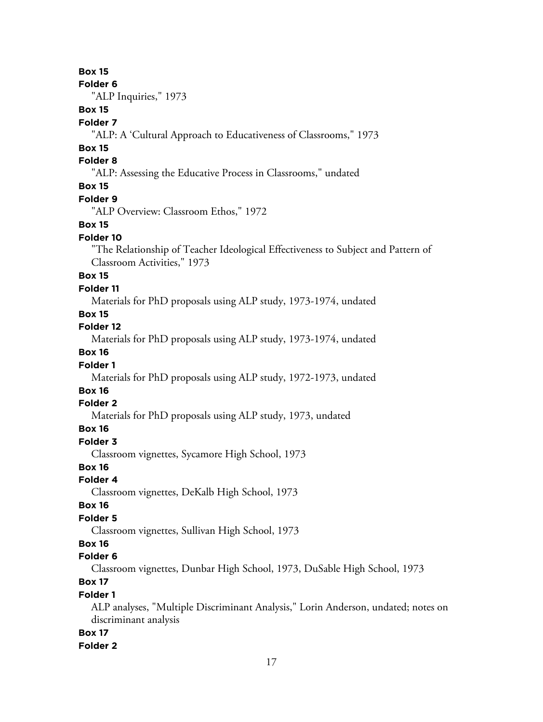**Folder 6**

"ALP Inquiries," 1973

# **Box 15**

# **Folder 7**

### **Box 15**

# **Folder 8**

"ALP: Assessing the Educative Process in Classrooms," undated

# **Box 15**

### **Folder 9**

"ALP Overview: Classroom Ethos," 1972

#### **Box 15**

#### **Folder 10**

"The Relationship of Teacher Ideological Effectiveness to Subject and Pattern of Classroom Activities," 1973

# **Box 15**

#### **Folder 11**

Materials for PhD proposals using ALP study, 1973-1974, undated

# **Box 15**

**Folder 12**

Materials for PhD proposals using ALP study, 1973-1974, undated

# **Box 16**

### **Folder 1**

Materials for PhD proposals using ALP study, 1972-1973, undated

# **Box 16**

#### **Folder 2**

Materials for PhD proposals using ALP study, 1973, undated

### **Box 16**

# **Folder 3**

Classroom vignettes, Sycamore High School, 1973

# **Box 16**

# **Folder 4**

Classroom vignettes, DeKalb High School, 1973

#### **Box 16**

### **Folder 5**

Classroom vignettes, Sullivan High School, 1973

# **Box 16**

### **Folder 6**

Classroom vignettes, Dunbar High School, 1973, DuSable High School, 1973

# **Box 17**

# **Folder 1**

ALP analyses, "Multiple Discriminant Analysis," Lorin Anderson, undated; notes on discriminant analysis

#### **Box 17**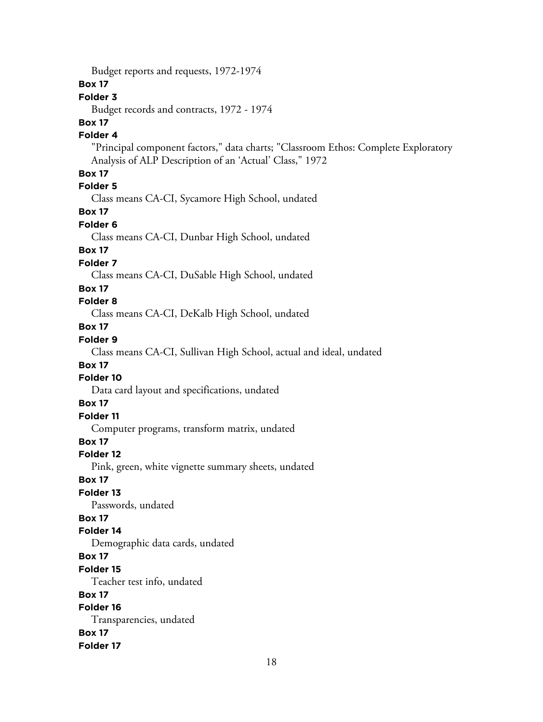Budget reports and requests, 1972-1974

# **Box 17**

# **Folder 3**

Budget records and contracts, 1972 - 1974

# **Box 17**

# **Folder 4**

"Principal component factors," data charts; "Classroom Ethos: Complete Exploratory Analysis of ALP Description of an 'Actual' Class," 1972

# **Box 17**

# **Folder 5**

Class means CA-CI, Sycamore High School, undated

# **Box 17**

#### **Folder 6**

Class means CA-CI, Dunbar High School, undated

# **Box 17**

# **Folder 7**

Class means CA-CI, DuSable High School, undated

#### **Box 17**

# **Folder 8**

Class means CA-CI, DeKalb High School, undated

# **Box 17**

# **Folder 9**

Class means CA-CI, Sullivan High School, actual and ideal, undated

### **Box 17**

# **Folder 10**

Data card layout and specifications, undated

### **Box 17**

# **Folder 11**

Computer programs, transform matrix, undated

# **Box 17**

### **Folder 12**

Pink, green, white vignette summary sheets, undated

### **Box 17**

# **Folder 13**

Passwords, undated

# **Box 17**

# **Folder 14**

Demographic data cards, undated

# **Box 17**

#### **Folder 15**

Teacher test info, undated

# **Box 17**

# **Folder 16**

Transparencies, undated **Box 17**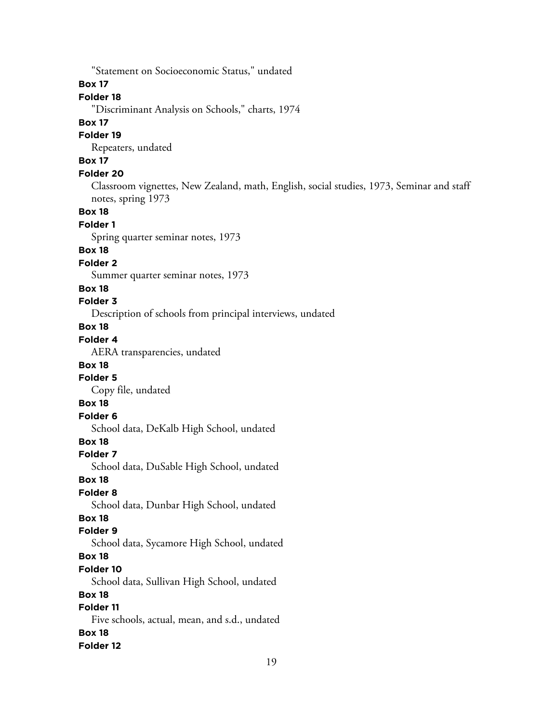"Statement on Socioeconomic Status," undated **Box 17 Folder 18** "Discriminant Analysis on Schools," charts, 1974 **Box 17 Folder 19** Repeaters, undated **Box 17 Folder 20** Classroom vignettes, New Zealand, math, English, social studies, 1973, Seminar and staff notes, spring 1973 **Box 18 Folder 1** Spring quarter seminar notes, 1973 **Box 18 Folder 2** Summer quarter seminar notes, 1973 **Box 18 Folder 3** Description of schools from principal interviews, undated **Box 18 Folder 4** AERA transparencies, undated **Box 18 Folder 5** Copy file, undated **Box 18 Folder 6** School data, DeKalb High School, undated **Box 18 Folder 7** School data, DuSable High School, undated **Box 18 Folder 8** School data, Dunbar High School, undated **Box 18 Folder 9** School data, Sycamore High School, undated **Box 18 Folder 10** School data, Sullivan High School, undated **Box 18 Folder 11** Five schools, actual, mean, and s.d., undated **Box 18 Folder 12**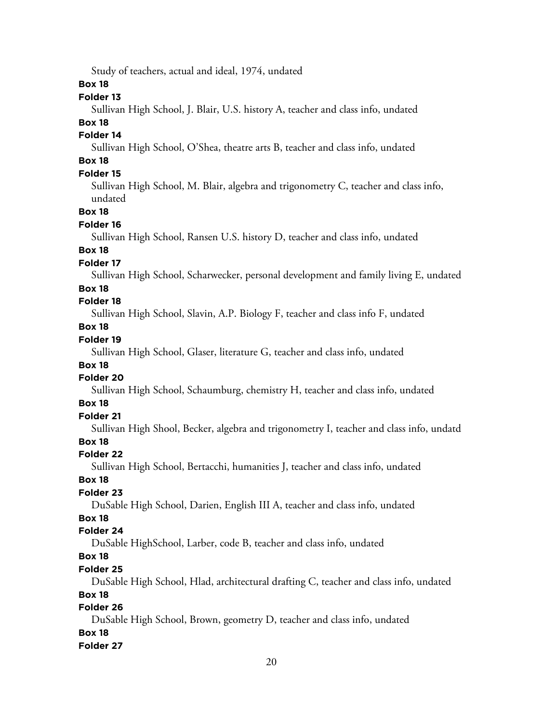Study of teachers, actual and ideal, 1974, undated

# **Box 18**

### **Folder 13**

Sullivan High School, J. Blair, U.S. history A, teacher and class info, undated

# **Box 18**

# **Folder 14**

Sullivan High School, O'Shea, theatre arts B, teacher and class info, undated

# **Box 18**

# **Folder 15**

Sullivan High School, M. Blair, algebra and trigonometry C, teacher and class info, undated

### **Box 18**

#### **Folder 16**

Sullivan High School, Ransen U.S. history D, teacher and class info, undated

# **Box 18**

# **Folder 17**

Sullivan High School, Scharwecker, personal development and family living E, undated

# **Box 18**

# **Folder 18**

Sullivan High School, Slavin, A.P. Biology F, teacher and class info F, undated

# **Box 18**

# **Folder 19**

Sullivan High School, Glaser, literature G, teacher and class info, undated

### **Box 18**

# **Folder 20**

Sullivan High School, Schaumburg, chemistry H, teacher and class info, undated

### **Box 18**

# **Folder 21**

Sullivan High Shool, Becker, algebra and trigonometry I, teacher and class info, undatd

# **Box 18**

### **Folder 22**

Sullivan High School, Bertacchi, humanities J, teacher and class info, undated

#### **Box 18**

### **Folder 23**

DuSable High School, Darien, English III A, teacher and class info, undated

# **Box 18**

### **Folder 24**

DuSable HighSchool, Larber, code B, teacher and class info, undated

# **Box 18**

### **Folder 25**

DuSable High School, Hlad, architectural drafting C, teacher and class info, undated

# **Box 18**

# **Folder 26**

DuSable High School, Brown, geometry D, teacher and class info, undated **Box 18 Folder 27**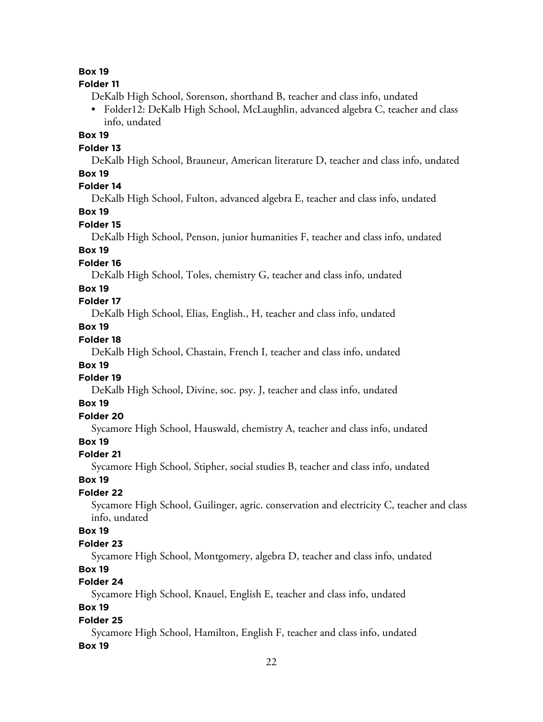#### **Folder 11**

DeKalb High School, Sorenson, shorthand B, teacher and class info, undated

• Folder12: DeKalb High School, McLaughlin, advanced algebra C, teacher and class info, undated

### **Box 19**

**Folder 13**

DeKalb High School, Brauneur, American literature D, teacher and class info, undated **Box 19**

# **Folder 14**

DeKalb High School, Fulton, advanced algebra E, teacher and class info, undated

# **Box 19**

**Folder 15**

DeKalb High School, Penson, junior humanities F, teacher and class info, undated

# **Box 19**

# **Folder 16**

DeKalb High School, Toles, chemistry G, teacher and class info, undated

#### **Box 19**

# **Folder 17**

DeKalb High School, Elias, English., H, teacher and class info, undated

# **Box 19**

### **Folder 18**

DeKalb High School, Chastain, French I, teacher and class info, undated

#### **Box 19**

### **Folder 19**

DeKalb High School, Divine, soc. psy. J, teacher and class info, undated

### **Box 19**

# **Folder 20**

Sycamore High School, Hauswald, chemistry A, teacher and class info, undated

# **Box 19**

### **Folder 21**

Sycamore High School, Stipher, social studies B, teacher and class info, undated

#### **Box 19**

### **Folder 22**

Sycamore High School, Guilinger, agric. conservation and electricity C, teacher and class info, undated

### **Box 19**

#### **Folder 23**

Sycamore High School, Montgomery, algebra D, teacher and class info, undated

### **Box 19**

# **Folder 24**

Sycamore High School, Knauel, English E, teacher and class info, undated

# **Box 19**

### **Folder 25**

Sycamore High School, Hamilton, English F, teacher and class info, undated **Box 19**

### 22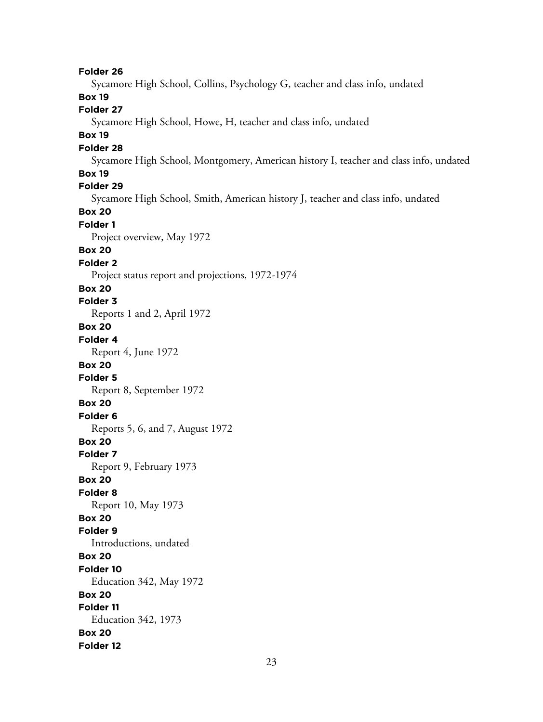**Folder 26** Sycamore High School, Collins, Psychology G, teacher and class info, undated **Box 19 Folder 27** Sycamore High School, Howe, H, teacher and class info, undated **Box 19 Folder 28** Sycamore High School, Montgomery, American history I, teacher and class info, undated **Box 19 Folder 29** Sycamore High School, Smith, American history J, teacher and class info, undated **Box 20 Folder 1** Project overview, May 1972 **Box 20 Folder 2** Project status report and projections, 1972-1974 **Box 20 Folder 3** Reports 1 and 2, April 1972 **Box 20 Folder 4** Report 4, June 1972 **Box 20 Folder 5** Report 8, September 1972 **Box 20 Folder 6** Reports 5, 6, and 7, August 1972 **Box 20 Folder 7** Report 9, February 1973 **Box 20 Folder 8** Report 10, May 1973 **Box 20 Folder 9** Introductions, undated **Box 20 Folder 10** Education 342, May 1972 **Box 20 Folder 11** Education 342, 1973 **Box 20 Folder 12**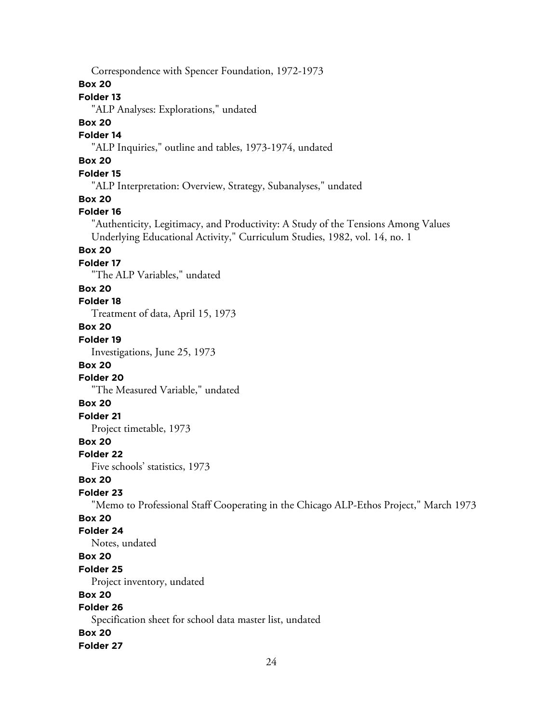Correspondence with Spencer Foundation, 1972-1973 **Box 20 Folder 13** "ALP Analyses: Explorations," undated **Box 20 Folder 14** "ALP Inquiries," outline and tables, 1973-1974, undated **Box 20 Folder 15** "ALP Interpretation: Overview, Strategy, Subanalyses," undated **Box 20 Folder 16** "Authenticity, Legitimacy, and Productivity: A Study of the Tensions Among Values Underlying Educational Activity," Curriculum Studies, 1982, vol. 14, no. 1 **Box 20 Folder 17** "The ALP Variables," undated **Box 20 Folder 18** Treatment of data, April 15, 1973 **Box 20 Folder 19** Investigations, June 25, 1973 **Box 20 Folder 20** "The Measured Variable," undated **Box 20 Folder 21** Project timetable, 1973 **Box 20 Folder 22** Five schools' statistics, 1973 **Box 20 Folder 23** "Memo to Professional Staff Cooperating in the Chicago ALP-Ethos Project," March 1973 **Box 20 Folder 24** Notes, undated **Box 20 Folder 25** Project inventory, undated **Box 20 Folder 26** Specification sheet for school data master list, undated **Box 20 Folder 27**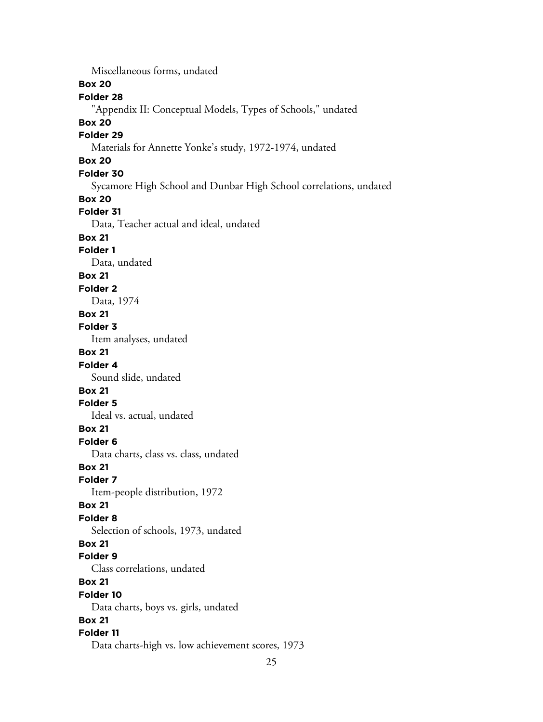Miscellaneous forms, undated

**Box 20**

**Folder 28**

"Appendix II: Conceptual Models, Types of Schools," undated

**Box 20**

# **Folder 29**

Materials for Annette Yonke's study, 1972-1974, undated

# **Box 20**

**Folder 30**

Sycamore High School and Dunbar High School correlations, undated

#### **Box 20**

### **Folder 31**

Data, Teacher actual and ideal, undated

# **Box 21**

# **Folder 1**

Data, undated

### **Box 21**

**Folder 2**

Data, 1974

# **Box 21**

**Folder 3**

Item analyses, undated

# **Box 21**

**Folder 4**

Sound slide, undated

# **Box 21**

# **Folder 5**

Ideal vs. actual, undated

# **Box 21**

**Folder 6**

Data charts, class vs. class, undated

# **Box 21**

**Folder 7**

Item-people distribution, 1972

#### **Box 21**

**Folder 8**

Selection of schools, 1973, undated

# **Box 21**

**Folder 9**

Class correlations, undated

# **Box 21**

**Folder 10**

Data charts, boys vs. girls, undated

### **Box 21**

### **Folder 11**

Data charts-high vs. low achievement scores, 1973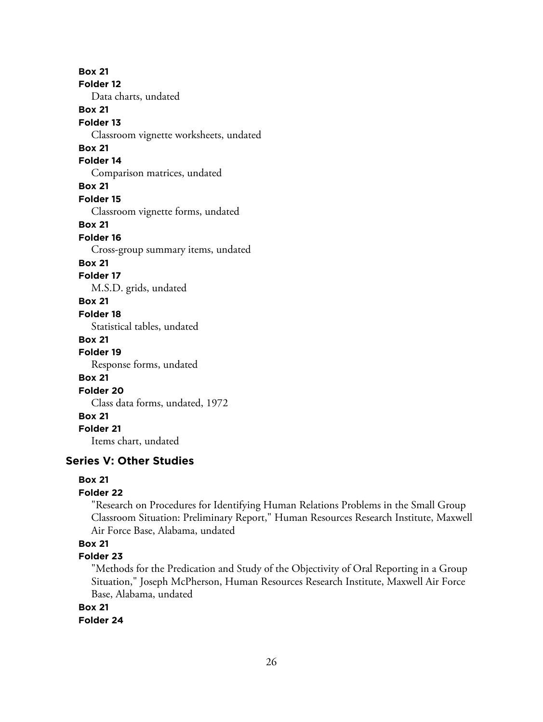**Box 21 Folder 12** Data charts, undated **Box 21 Folder 13** Classroom vignette worksheets, undated **Box 21 Folder 14** Comparison matrices, undated **Box 21 Folder 15** Classroom vignette forms, undated **Box 21 Folder 16** Cross-group summary items, undated **Box 21 Folder 17** M.S.D. grids, undated **Box 21 Folder 18** Statistical tables, undated **Box 21 Folder 19** Response forms, undated **Box 21 Folder 20** Class data forms, undated, 1972 **Box 21 Folder 21** Items chart, undated

# **Series V: Other Studies**

### **Box 21**

# **Folder 22**

"Research on Procedures for Identifying Human Relations Problems in the Small Group Classroom Situation: Preliminary Report," Human Resources Research Institute, Maxwell Air Force Base, Alabama, undated

# **Box 21**

### **Folder 23**

"Methods for the Predication and Study of the Objectivity of Oral Reporting in a Group Situation," Joseph McPherson, Human Resources Research Institute, Maxwell Air Force Base, Alabama, undated

# **Box 21**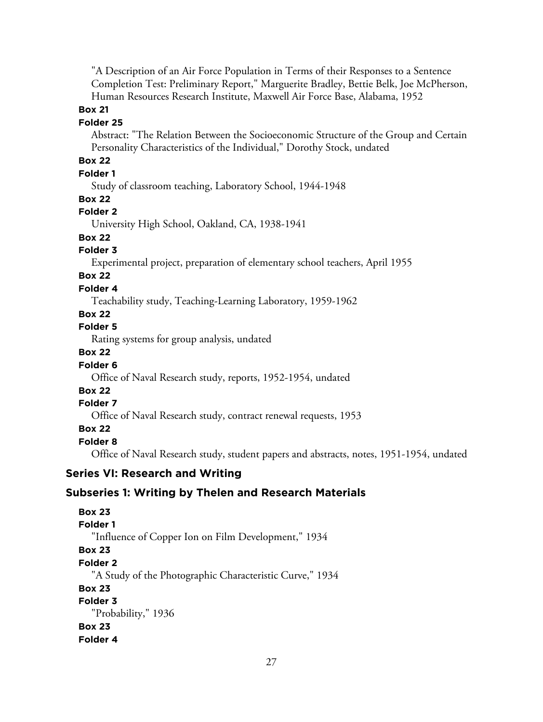"A Description of an Air Force Population in Terms of their Responses to a Sentence Completion Test: Preliminary Report," Marguerite Bradley, Bettie Belk, Joe McPherson, Human Resources Research Institute, Maxwell Air Force Base, Alabama, 1952

#### **Box 21**

#### **Folder 25**

Abstract: "The Relation Between the Socioeconomic Structure of the Group and Certain Personality Characteristics of the Individual," Dorothy Stock, undated

# **Box 22**

### **Folder 1**

Study of classroom teaching, Laboratory School, 1944-1948

#### **Box 22**

### **Folder 2**

University High School, Oakland, CA, 1938-1941

# **Box 22**

### **Folder 3**

Experimental project, preparation of elementary school teachers, April 1955

# **Box 22**

### **Folder 4**

Teachability study, Teaching-Learning Laboratory, 1959-1962

# **Box 22**

**Folder 5**

Rating systems for group analysis, undated

# **Box 22**

### **Folder 6**

Office of Naval Research study, reports, 1952-1954, undated

# **Box 22**

# **Folder 7**

Office of Naval Research study, contract renewal requests, 1953

# **Box 22**

# **Folder 8**

Office of Naval Research study, student papers and abstracts, notes, 1951-1954, undated

# **Series VI: Research and Writing**

# **Subseries 1: Writing by Thelen and Research Materials**

**Box 23 Folder 1** "Influence of Copper Ion on Film Development," 1934 **Box 23 Folder 2** "A Study of the Photographic Characteristic Curve," 1934 **Box 23 Folder 3** "Probability," 1936 **Box 23 Folder 4**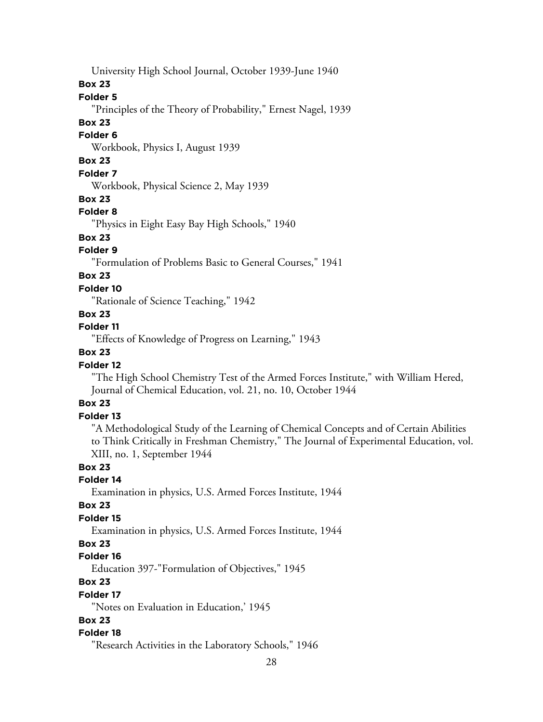University High School Journal, October 1939-June 1940

### **Box 23**

# **Folder 5**

"Principles of the Theory of Probability," Ernest Nagel, 1939

# **Box 23**

# **Folder 6**

Workbook, Physics I, August 1939

# **Box 23**

# **Folder 7**

Workbook, Physical Science 2, May 1939

#### **Box 23**

#### **Folder 8**

"Physics in Eight Easy Bay High Schools," 1940

### **Box 23**

# **Folder 9**

"Formulation of Problems Basic to General Courses," 1941

### **Box 23**

### **Folder 10**

"Rationale of Science Teaching," 1942

### **Box 23**

### **Folder 11**

"Effects of Knowledge of Progress on Learning," 1943

# **Box 23**

### **Folder 12**

"The High School Chemistry Test of the Armed Forces Institute," with William Hered, Journal of Chemical Education, vol. 21, no. 10, October 1944

# **Box 23**

# **Folder 13**

"A Methodological Study of the Learning of Chemical Concepts and of Certain Abilities to Think Critically in Freshman Chemistry," The Journal of Experimental Education, vol. XIII, no. 1, September 1944

### **Box 23**

#### **Folder 14**

Examination in physics, U.S. Armed Forces Institute, 1944

#### **Box 23**

### **Folder 15**

Examination in physics, U.S. Armed Forces Institute, 1944

# **Box 23**

#### **Folder 16**

Education 397-"Formulation of Objectives," 1945

# **Box 23**

#### **Folder 17**

"Notes on Evaluation in Education,' 1945

# **Box 23**

#### **Folder 18**

"Research Activities in the Laboratory Schools," 1946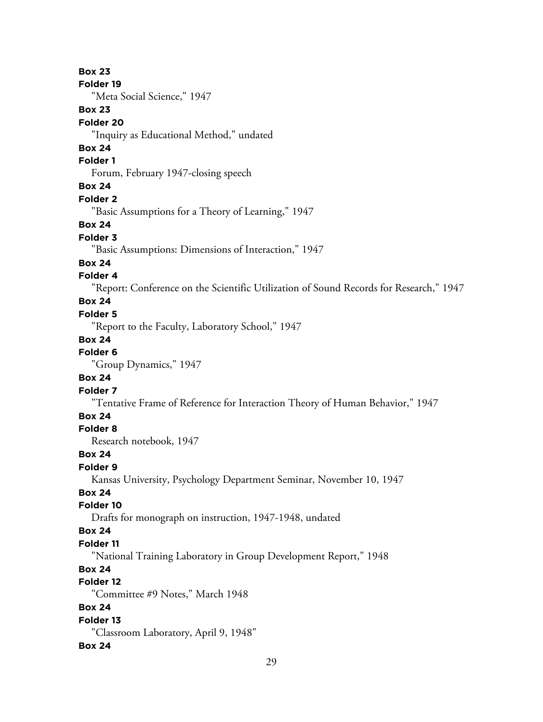**Box 23 Folder 19** "Meta Social Science," 1947 **Box 23 Folder 20** "Inquiry as Educational Method," undated **Box 24 Folder 1** Forum, February 1947-closing speech **Box 24 Folder 2** "Basic Assumptions for a Theory of Learning," 1947 **Box 24 Folder 3** "Basic Assumptions: Dimensions of Interaction," 1947 **Box 24 Folder 4** "Report: Conference on the Scientific Utilization of Sound Records for Research," 1947 **Box 24 Folder 5** "Report to the Faculty, Laboratory School," 1947 **Box 24 Folder 6** "Group Dynamics," 1947 **Box 24 Folder 7** "Tentative Frame of Reference for Interaction Theory of Human Behavior," 1947 **Box 24 Folder 8** Research notebook, 1947 **Box 24**

# **Folder 9**

Kansas University, Psychology Department Seminar, November 10, 1947

# **Box 24**

**Folder 10**

Drafts for monograph on instruction, 1947-1948, undated

#### **Box 24**

# **Folder 11**

"National Training Laboratory in Group Development Report," 1948

# **Box 24**

# **Folder 12**

"Committee #9 Notes," March 1948

# **Box 24**

**Folder 13**

"Classroom Laboratory, April 9, 1948"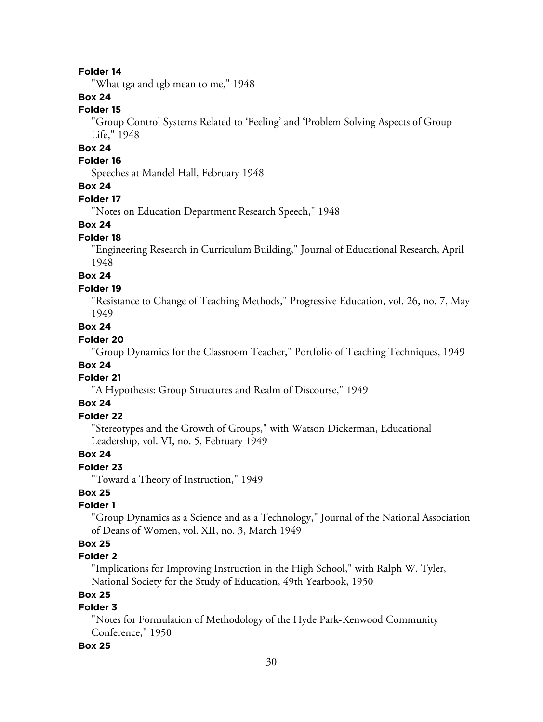"What tga and tgb mean to me," 1948

#### **Box 24**

#### **Folder 15**

"Group Control Systems Related to 'Feeling' and 'Problem Solving Aspects of Group Life," 1948

# **Box 24**

# **Folder 16**

Speeches at Mandel Hall, February 1948

### **Box 24**

#### **Folder 17**

"Notes on Education Department Research Speech," 1948

#### **Box 24**

#### **Folder 18**

"Engineering Research in Curriculum Building," Journal of Educational Research, April 1948

**Box 24**

#### **Folder 19**

"Resistance to Change of Teaching Methods," Progressive Education, vol. 26, no. 7, May 1949

# **Box 24**

#### **Folder 20**

"Group Dynamics for the Classroom Teacher," Portfolio of Teaching Techniques, 1949

### **Box 24**

# **Folder 21**

"A Hypothesis: Group Structures and Realm of Discourse," 1949

# **Box 24**

#### **Folder 22**

"Stereotypes and the Growth of Groups," with Watson Dickerman, Educational Leadership, vol. VI, no. 5, February 1949

### **Box 24**

**Folder 23**

"Toward a Theory of Instruction," 1949

# **Box 25**

### **Folder 1**

"Group Dynamics as a Science and as a Technology," Journal of the National Association of Deans of Women, vol. XII, no. 3, March 1949

# **Box 25**

# **Folder 2**

"Implications for Improving Instruction in the High School," with Ralph W. Tyler, National Society for the Study of Education, 49th Yearbook, 1950

# **Box 25**

# **Folder 3**

"Notes for Formulation of Methodology of the Hyde Park-Kenwood Community Conference," 1950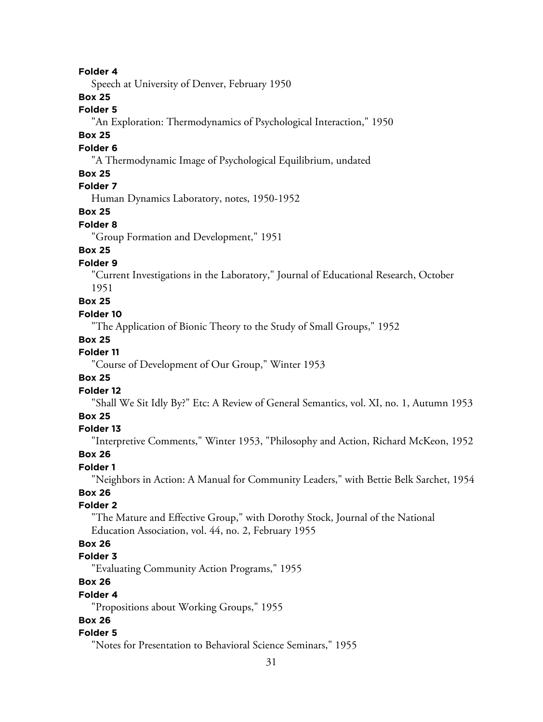Speech at University of Denver, February 1950

#### **Box 25**

# **Folder 5**

"An Exploration: Thermodynamics of Psychological Interaction," 1950

### **Box 25**

#### **Folder 6**

"A Thermodynamic Image of Psychological Equilibrium, undated

### **Box 25**

# **Folder 7**

Human Dynamics Laboratory, notes, 1950-1952

# **Box 25**

#### **Folder 8**

"Group Formation and Development," 1951

# **Box 25**

### **Folder 9**

"Current Investigations in the Laboratory," Journal of Educational Research, October 1951

**Box 25**

#### **Folder 10**

"The Application of Bionic Theory to the Study of Small Groups," 1952

#### **Box 25**

### **Folder 11**

"Course of Development of Our Group," Winter 1953

### **Box 25**

#### **Folder 12**

"Shall We Sit Idly By?" Etc: A Review of General Semantics, vol. XI, no. 1, Autumn 1953

# **Box 25**

#### **Folder 13**

"Interpretive Comments," Winter 1953, "Philosophy and Action, Richard McKeon, 1952

#### **Box 26**

#### **Folder 1**

"Neighbors in Action: A Manual for Community Leaders," with Bettie Belk Sarchet, 1954 **Box 26**

# **Folder 2**

"The Mature and Effective Group," with Dorothy Stock, Journal of the National Education Association, vol. 44, no. 2, February 1955

# **Box 26**

### **Folder 3**

"Evaluating Community Action Programs," 1955

# **Box 26**

#### **Folder 4**

"Propositions about Working Groups," 1955

### **Box 26**

### **Folder 5**

"Notes for Presentation to Behavioral Science Seminars," 1955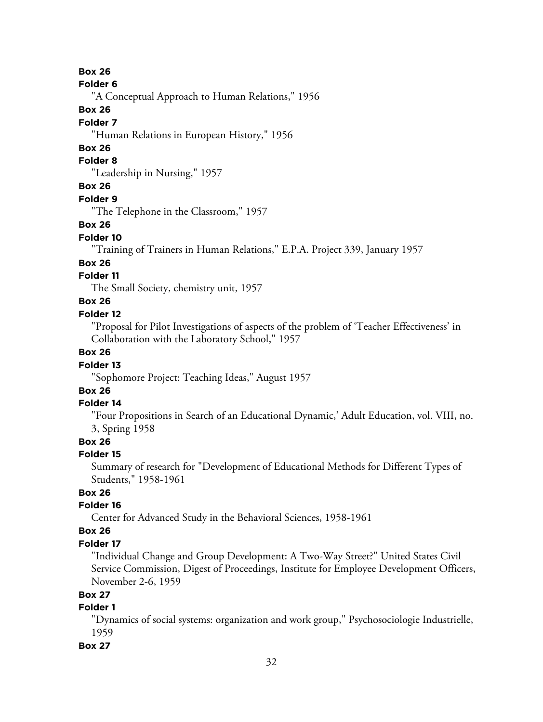#### **Folder 6**

"A Conceptual Approach to Human Relations," 1956

### **Box 26**

### **Folder 7**

"Human Relations in European History," 1956

# **Box 26**

# **Folder 8**

"Leadership in Nursing," 1957

### **Box 26**

#### **Folder 9**

"The Telephone in the Classroom," 1957

#### **Box 26**

#### **Folder 10**

"Training of Trainers in Human Relations," E.P.A. Project 339, January 1957

#### **Box 26**

# **Folder 11**

The Small Society, chemistry unit, 1957

# **Box 26**

#### **Folder 12**

"Proposal for Pilot Investigations of aspects of the problem of 'Teacher Effectiveness' in Collaboration with the Laboratory School," 1957

# **Box 26**

#### **Folder 13**

"Sophomore Project: Teaching Ideas," August 1957

# **Box 26**

#### **Folder 14**

"Four Propositions in Search of an Educational Dynamic,' Adult Education, vol. VIII, no. 3, Spring 1958

# **Box 26**

#### **Folder 15**

Summary of research for "Development of Educational Methods for Different Types of Students," 1958-1961

# **Box 26**

### **Folder 16**

Center for Advanced Study in the Behavioral Sciences, 1958-1961

#### **Box 26**

#### **Folder 17**

"Individual Change and Group Development: A Two-Way Street?" United States Civil Service Commission, Digest of Proceedings, Institute for Employee Development Officers, November 2-6, 1959

# **Box 27**

# **Folder 1**

"Dynamics of social systems: organization and work group," Psychosociologie Industrielle, 1959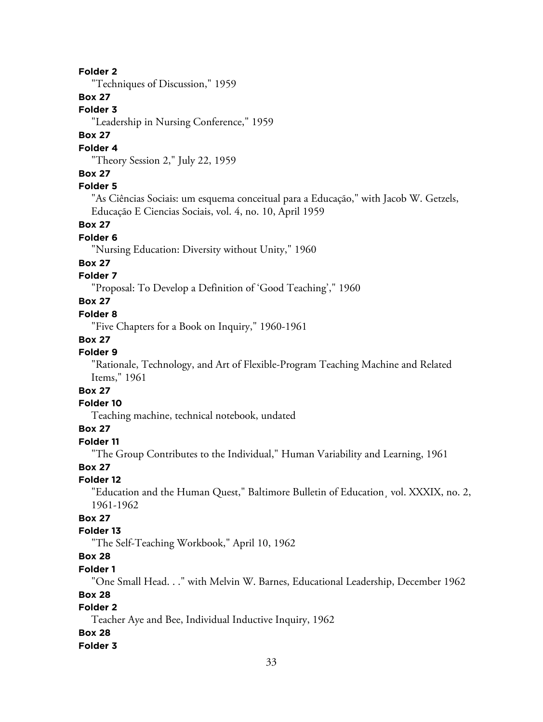"Techniques of Discussion," 1959

# **Box 27**

### **Folder 3**

"Leadership in Nursing Conference," 1959

# **Box 27**

#### **Folder 4**

"Theory Session 2," July 22, 1959

# **Box 27**

# **Folder 5**

"As Ciências Sociais: um esquema conceitual para a Educação," with Jacob W. Getzels, Educação E Ciencias Sociais, vol. 4, no. 10, April 1959

#### **Box 27**

### **Folder 6**

"Nursing Education: Diversity without Unity," 1960

#### **Box 27**

# **Folder 7**

"Proposal: To Develop a Definition of 'Good Teaching'," 1960

# **Box 27**

### **Folder 8**

"Five Chapters for a Book on Inquiry," 1960-1961

#### **Box 27**

# **Folder 9**

"Rationale, Technology, and Art of Flexible-Program Teaching Machine and Related Items," 1961

# **Box 27**

# **Folder 10**

Teaching machine, technical notebook, undated

# **Box 27**

# **Folder 11**

"The Group Contributes to the Individual," Human Variability and Learning, 1961

### **Box 27**

### **Folder 12**

"Education and the Human Quest," Baltimore Bulletin of Education¸ vol. XXXIX, no. 2, 1961-1962

# **Box 27**

# **Folder 13**

"The Self-Teaching Workbook," April 10, 1962

# **Box 28**

#### **Folder 1**

"One Small Head. . ." with Melvin W. Barnes, Educational Leadership, December 1962

### **Box 28**

# **Folder 2**

Teacher Aye and Bee, Individual Inductive Inquiry, 1962

# **Box 28**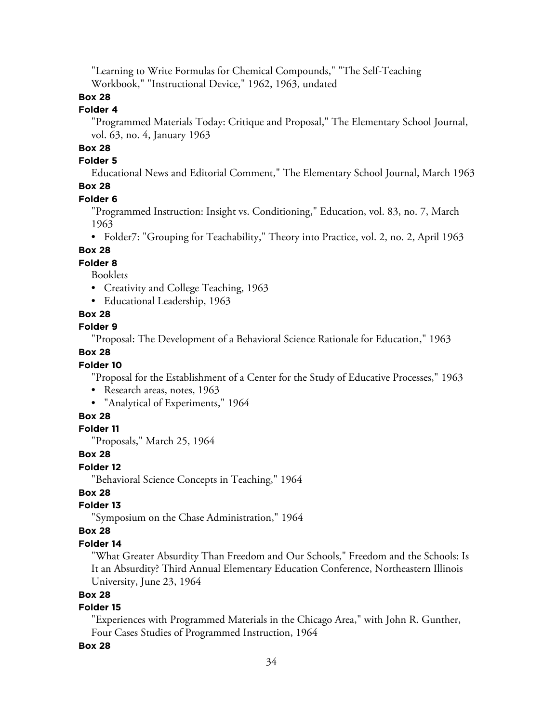"Learning to Write Formulas for Chemical Compounds," "The Self-Teaching Workbook," "Instructional Device," 1962, 1963, undated

# **Box 28**

# **Folder 4**

"Programmed Materials Today: Critique and Proposal," The Elementary School Journal, vol. 63, no. 4, January 1963

# **Box 28**

### **Folder 5**

Educational News and Editorial Comment," The Elementary School Journal, March 1963 **Box 28**

#### **Folder 6**

"Programmed Instruction: Insight vs. Conditioning," Education, vol. 83, no. 7, March 1963

• Folder7: "Grouping for Teachability," Theory into Practice, vol. 2, no. 2, April 1963

### **Box 28**

#### **Folder 8**

Booklets

- Creativity and College Teaching, 1963
- Educational Leadership, 1963

### **Box 28**

#### **Folder 9**

"Proposal: The Development of a Behavioral Science Rationale for Education," 1963

### **Box 28**

### **Folder 10**

"Proposal for the Establishment of a Center for the Study of Educative Processes," 1963

- Research areas, notes, 1963
- "Analytical of Experiments," 1964

### **Box 28**

#### **Folder 11**

"Proposals," March 25, 1964

### **Box 28**

### **Folder 12**

"Behavioral Science Concepts in Teaching," 1964

# **Box 28**

### **Folder 13**

"Symposium on the Chase Administration," 1964

#### **Box 28**

#### **Folder 14**

"What Greater Absurdity Than Freedom and Our Schools," Freedom and the Schools: Is It an Absurdity? Third Annual Elementary Education Conference, Northeastern Illinois University, June 23, 1964

# **Box 28**

# **Folder 15**

"Experiences with Programmed Materials in the Chicago Area," with John R. Gunther, Four Cases Studies of Programmed Instruction, 1964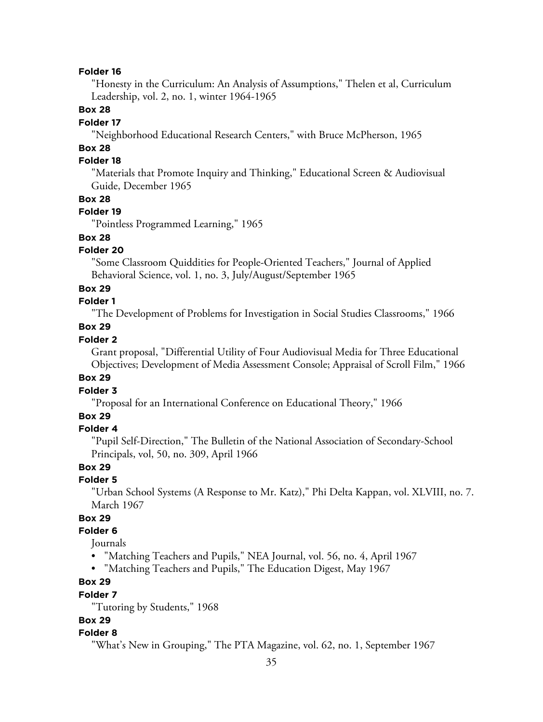"Honesty in the Curriculum: An Analysis of Assumptions," Thelen et al, Curriculum Leadership, vol. 2, no. 1, winter 1964-1965

### **Box 28**

#### **Folder 17**

"Neighborhood Educational Research Centers," with Bruce McPherson, 1965

# **Box 28**

# **Folder 18**

"Materials that Promote Inquiry and Thinking," Educational Screen & Audiovisual Guide, December 1965

#### **Box 28**

#### **Folder 19**

"Pointless Programmed Learning," 1965

# **Box 28**

### **Folder 20**

"Some Classroom Quiddities for People-Oriented Teachers," Journal of Applied Behavioral Science, vol. 1, no. 3, July/August/September 1965

#### **Box 29**

# **Folder 1**

"The Development of Problems for Investigation in Social Studies Classrooms," 1966

#### **Box 29**

# **Folder 2**

Grant proposal, "Differential Utility of Four Audiovisual Media for Three Educational Objectives; Development of Media Assessment Console; Appraisal of Scroll Film," 1966

### **Box 29**

#### **Folder 3**

"Proposal for an International Conference on Educational Theory," 1966

### **Box 29**

#### **Folder 4**

"Pupil Self-Direction," The Bulletin of the National Association of Secondary-School Principals, vol, 50, no. 309, April 1966

# **Box 29**

# **Folder 5**

"Urban School Systems (A Response to Mr. Katz)," Phi Delta Kappan, vol. XLVIII, no. 7. March 1967

### **Box 29**

# **Folder 6**

Journals

- "Matching Teachers and Pupils," NEA Journal, vol. 56, no. 4, April 1967
- "Matching Teachers and Pupils," The Education Digest, May 1967

# **Box 29**

#### **Folder 7**

"Tutoring by Students," 1968

#### **Box 29**

#### **Folder 8**

"What's New in Grouping," The PTA Magazine, vol. 62, no. 1, September 1967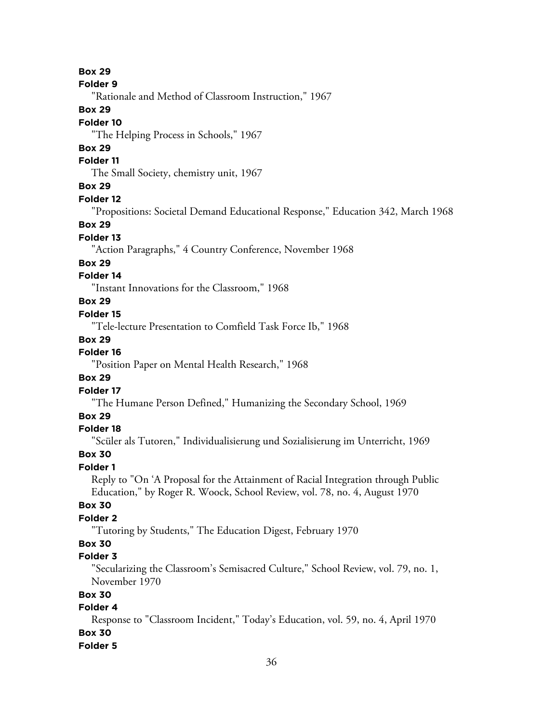**Folder 9**

"Rationale and Method of Classroom Instruction," 1967

### **Box 29**

### **Folder 10**

"The Helping Process in Schools," 1967

# **Box 29**

#### **Folder 11**

The Small Society, chemistry unit, 1967

# **Box 29**

### **Folder 12**

"Propositions: Societal Demand Educational Response," Education 342, March 1968

### **Box 29**

### **Folder 13**

"Action Paragraphs," 4 Country Conference, November 1968

# **Box 29**

# **Folder 14**

"Instant Innovations for the Classroom," 1968

# **Box 29**

### **Folder 15**

"Tele-lecture Presentation to Comfield Task Force Ib," 1968

# **Box 29**

# **Folder 16**

"Position Paper on Mental Health Research," 1968

### **Box 29**

### **Folder 17**

"The Humane Person Defined," Humanizing the Secondary School, 1969

### **Box 29**

### **Folder 18**

"Scüler als Tutoren," Individualisierung und Sozialisierung im Unterricht, 1969

### **Box 30**

### **Folder 1**

Reply to "On 'A Proposal for the Attainment of Racial Integration through Public Education," by Roger R. Woock, School Review, vol. 78, no. 4, August 1970

# **Box 30**

# **Folder 2**

"Tutoring by Students," The Education Digest, February 1970

# **Box 30**

# **Folder 3**

"Secularizing the Classroom's Semisacred Culture," School Review, vol. 79, no. 1, November 1970

# **Box 30**

# **Folder 4**

Response to "Classroom Incident," Today's Education, vol. 59, no. 4, April 1970 **Box 30**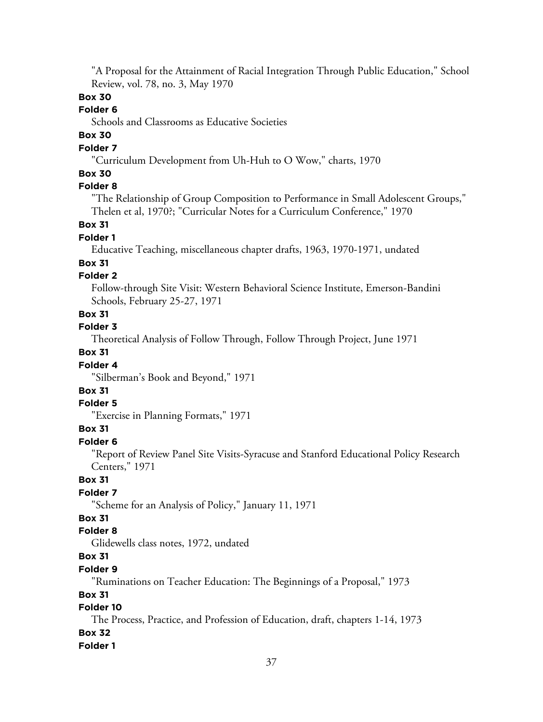"A Proposal for the Attainment of Racial Integration Through Public Education," School Review, vol. 78, no. 3, May 1970

# **Box 30**

# **Folder 6**

Schools and Classrooms as Educative Societies

# **Box 30**

# **Folder 7**

"Curriculum Development from Uh-Huh to O Wow," charts, 1970

### **Box 30**

# **Folder 8**

"The Relationship of Group Composition to Performance in Small Adolescent Groups," Thelen et al, 1970?; "Curricular Notes for a Curriculum Conference," 1970

### **Box 31**

#### **Folder 1**

Educative Teaching, miscellaneous chapter drafts, 1963, 1970-1971, undated

### **Box 31**

### **Folder 2**

Follow-through Site Visit: Western Behavioral Science Institute, Emerson-Bandini Schools, February 25-27, 1971

### **Box 31**

**Folder 3**

Theoretical Analysis of Follow Through, Follow Through Project, June 1971

# **Box 31**

# **Folder 4**

"Silberman's Book and Beyond," 1971

# **Box 31**

#### **Folder 5**

"Exercise in Planning Formats," 1971

### **Box 31**

# **Folder 6**

"Report of Review Panel Site Visits-Syracuse and Stanford Educational Policy Research Centers," 1971

### **Box 31**

### **Folder 7**

"Scheme for an Analysis of Policy," January 11, 1971

# **Box 31**

# **Folder 8**

Glidewells class notes, 1972, undated

# **Box 31**

### **Folder 9**

"Ruminations on Teacher Education: The Beginnings of a Proposal," 1973

### **Box 31**

# **Folder 10**

The Process, Practice, and Profession of Education, draft, chapters 1-14, 1973

# **Box 32**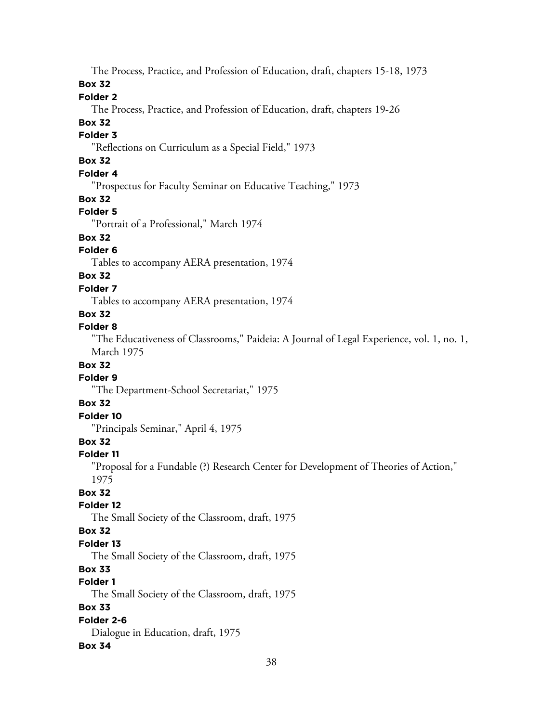The Process, Practice, and Profession of Education, draft, chapters 15-18, 1973

### **Box 32**

# **Folder 2**

The Process, Practice, and Profession of Education, draft, chapters 19-26

# **Box 32**

# **Folder 3**

"Reflections on Curriculum as a Special Field," 1973

# **Box 32**

# **Folder 4**

"Prospectus for Faculty Seminar on Educative Teaching," 1973

# **Box 32**

# **Folder 5**

"Portrait of a Professional," March 1974

# **Box 32**

# **Folder 6**

Tables to accompany AERA presentation, 1974

# **Box 32**

# **Folder 7**

Tables to accompany AERA presentation, 1974

# **Box 32**

# **Folder 8**

"The Educativeness of Classrooms," Paideia: A Journal of Legal Experience, vol. 1, no. 1, March 1975

# **Box 32**

# **Folder 9**

"The Department-School Secretariat," 1975

# **Box 32**

# **Folder 10**

"Principals Seminar," April 4, 1975

# **Box 32**

# **Folder 11**

"Proposal for a Fundable (?) Research Center for Development of Theories of Action," 1975

# **Box 32**

# **Folder 12**

The Small Society of the Classroom, draft, 1975

# **Box 32**

# **Folder 13**

The Small Society of the Classroom, draft, 1975

# **Box 33**

# **Folder 1**

The Small Society of the Classroom, draft, 1975

# **Box 33**

# **Folder 2-6**

Dialogue in Education, draft, 1975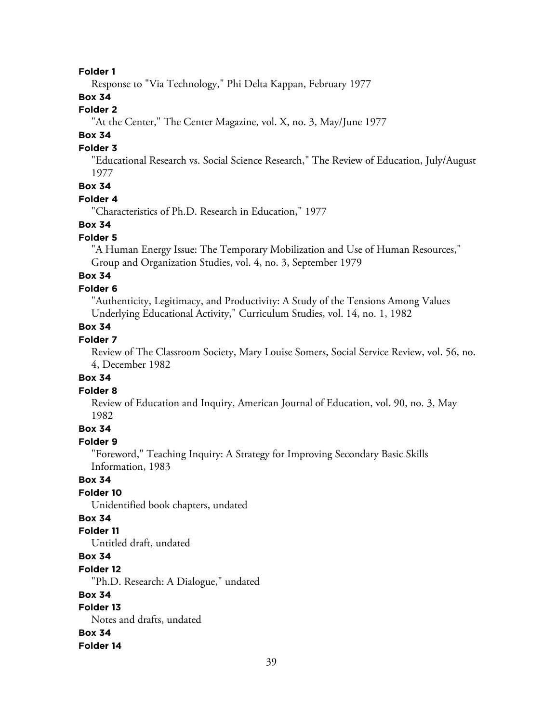Response to "Via Technology," Phi Delta Kappan, February 1977

# **Box 34**

# **Folder 2**

"At the Center," The Center Magazine, vol. X, no. 3, May/June 1977

# **Box 34**

# **Folder 3**

"Educational Research vs. Social Science Research," The Review of Education, July/August 1977

# **Box 34**

### **Folder 4**

"Characteristics of Ph.D. Research in Education," 1977

### **Box 34**

### **Folder 5**

"A Human Energy Issue: The Temporary Mobilization and Use of Human Resources," Group and Organization Studies, vol. 4, no. 3, September 1979

# **Box 34**

# **Folder 6**

"Authenticity, Legitimacy, and Productivity: A Study of the Tensions Among Values Underlying Educational Activity," Curriculum Studies, vol. 14, no. 1, 1982

# **Box 34**

# **Folder 7**

Review of The Classroom Society, Mary Louise Somers, Social Service Review, vol. 56, no. 4, December 1982

### **Box 34**

#### **Folder 8**

Review of Education and Inquiry, American Journal of Education, vol. 90, no. 3, May 1982

# **Box 34**

# **Folder 9**

"Foreword," Teaching Inquiry: A Strategy for Improving Secondary Basic Skills Information, 1983

# **Box 34**

#### **Folder 10**

Unidentified book chapters, undated

# **Box 34**

#### **Folder 11**

Untitled draft, undated

# **Box 34**

#### **Folder 12**

"Ph.D. Research: A Dialogue," undated

### **Box 34**

# **Folder 13**

Notes and drafts, undated

### **Box 34**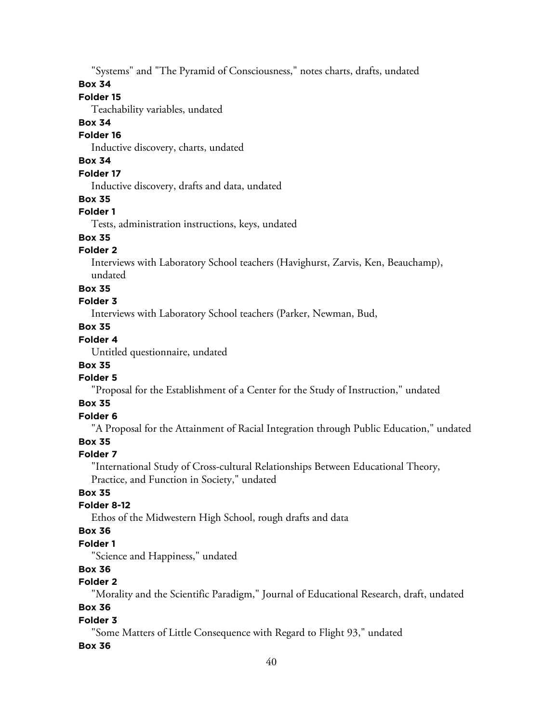"Systems" and "The Pyramid of Consciousness," notes charts, drafts, undated

### **Box 34**

### **Folder 15**

Teachability variables, undated

### **Box 34**

### **Folder 16**

Inductive discovery, charts, undated

# **Box 34**

# **Folder 17**

Inductive discovery, drafts and data, undated

### **Box 35**

# **Folder 1**

Tests, administration instructions, keys, undated

# **Box 35**

# **Folder 2**

Interviews with Laboratory School teachers (Havighurst, Zarvis, Ken, Beauchamp), undated

### **Box 35**

### **Folder 3**

Interviews with Laboratory School teachers (Parker, Newman, Bud,

# **Box 35**

# **Folder 4**

Untitled questionnaire, undated

# **Box 35**

### **Folder 5**

"Proposal for the Establishment of a Center for the Study of Instruction," undated

# **Box 35**

# **Folder 6**

"A Proposal for the Attainment of Racial Integration through Public Education," undated

# **Box 35**

# **Folder 7**

"International Study of Cross-cultural Relationships Between Educational Theory, Practice, and Function in Society," undated

# **Box 35**

# **Folder 8-12**

Ethos of the Midwestern High School, rough drafts and data

### **Box 36**

### **Folder 1**

"Science and Happiness," undated

# **Box 36**

# **Folder 2**

"Morality and the Scientific Paradigm," Journal of Educational Research, draft, undated

# **Box 36**

### **Folder 3**

"Some Matters of Little Consequence with Regard to Flight 93," undated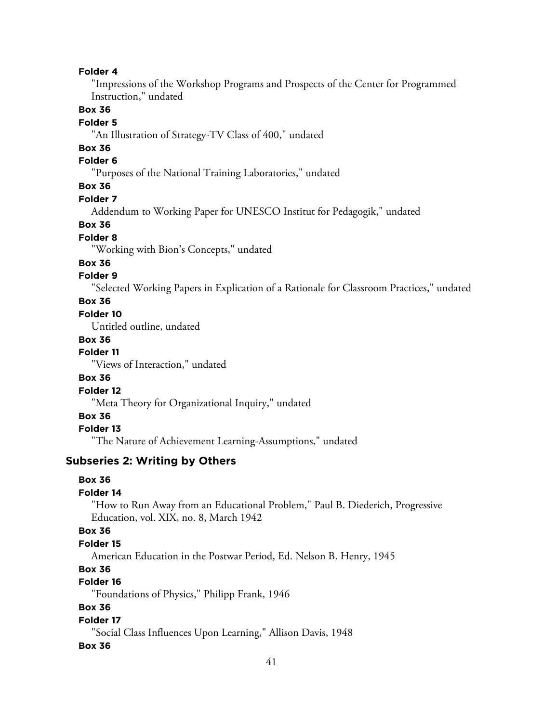"Impressions of the Workshop Programs and Prospects of the Center for Programmed Instruction," undated

# **Box 36**

# **Folder 5**

"An Illustration of Strategy-TV Class of 400," undated

# **Box 36**

# **Folder 6**

"Purposes of the National Training Laboratories," undated

# **Box 36**

#### **Folder 7**

Addendum to Working Paper for UNESCO Institut for Pedagogik," undated

### **Box 36**

# **Folder 8**

"Working with Bion's Concepts," undated

# **Box 36**

# **Folder 9**

"Selected Working Papers in Explication of a Rationale for Classroom Practices," undated

### **Box 36**

# **Folder 10**

Untitled outline, undated

# **Box 36**

**Folder 11**

"Views of Interaction," undated

### **Box 36**

# **Folder 12**

"Meta Theory for Organizational Inquiry," undated

# **Box 36**

#### **Folder 13**

"The Nature of Achievement Learning-Assumptions," undated

#### **Subseries 2: Writing by Others**

### **Box 36**

# **Folder 14**

"How to Run Away from an Educational Problem," Paul B. Diederich, Progressive Education, vol. XIX, no. 8, March 1942

#### **Box 36**

#### **Folder 15**

American Education in the Postwar Period, Ed. Nelson B. Henry, 1945

# **Box 36**

# **Folder 16**

"Foundations of Physics," Philipp Frank, 1946

# **Box 36**

### **Folder 17**

"Social Class Influences Upon Learning," Allison Davis, 1948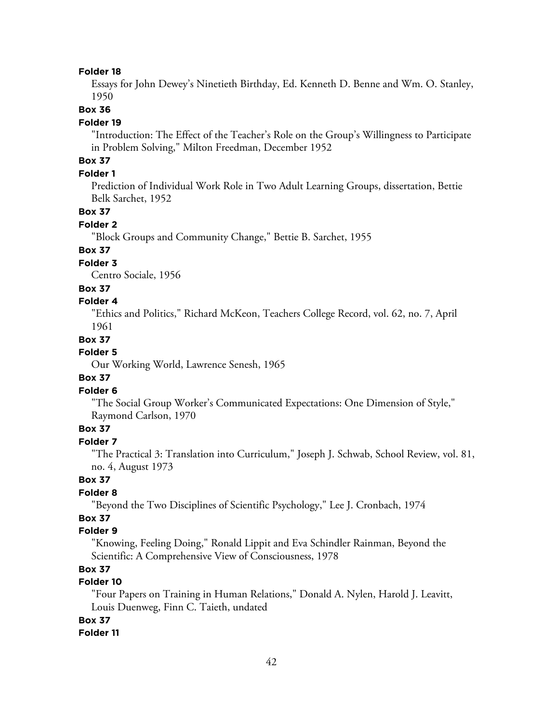Essays for John Dewey's Ninetieth Birthday, Ed. Kenneth D. Benne and Wm. O. Stanley, 1950

# **Box 36**

#### **Folder 19**

"Introduction: The Effect of the Teacher's Role on the Group's Willingness to Participate in Problem Solving," Milton Freedman, December 1952

# **Box 37**

### **Folder 1**

Prediction of Individual Work Role in Two Adult Learning Groups, dissertation, Bettie Belk Sarchet, 1952

### **Box 37**

### **Folder 2**

"Block Groups and Community Change," Bettie B. Sarchet, 1955

### **Box 37**

### **Folder 3**

Centro Sociale, 1956

# **Box 37**

#### **Folder 4**

"Ethics and Politics," Richard McKeon, Teachers College Record, vol. 62, no. 7, April 1961

#### **Box 37**

#### **Folder 5**

Our Working World, Lawrence Senesh, 1965

### **Box 37**

#### **Folder 6**

"The Social Group Worker's Communicated Expectations: One Dimension of Style," Raymond Carlson, 1970

### **Box 37**

# **Folder 7**

"The Practical 3: Translation into Curriculum," Joseph J. Schwab, School Review, vol. 81, no. 4, August 1973

# **Box 37**

# **Folder 8**

"Beyond the Two Disciplines of Scientific Psychology," Lee J. Cronbach, 1974

# **Box 37**

### **Folder 9**

"Knowing, Feeling Doing," Ronald Lippit and Eva Schindler Rainman, Beyond the Scientific: A Comprehensive View of Consciousness, 1978

# **Box 37**

# **Folder 10**

"Four Papers on Training in Human Relations," Donald A. Nylen, Harold J. Leavitt, Louis Duenweg, Finn C. Taieth, undated

# **Box 37**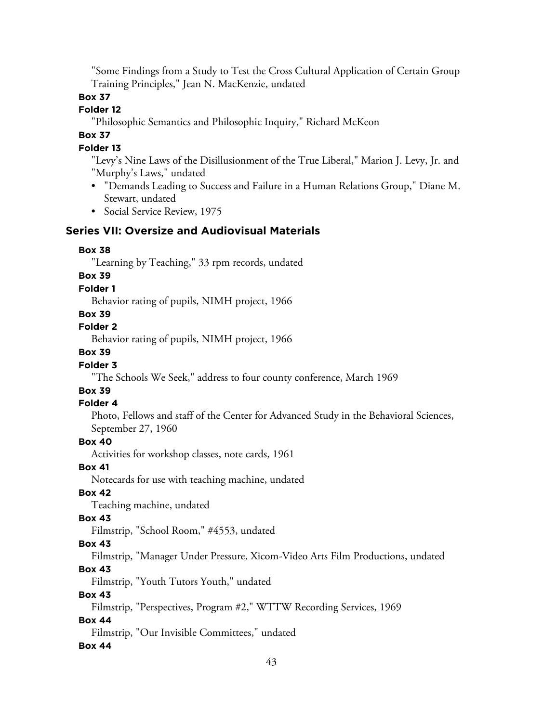"Some Findings from a Study to Test the Cross Cultural Application of Certain Group Training Principles," Jean N. MacKenzie, undated

# **Box 37**

# **Folder 12**

"Philosophic Semantics and Philosophic Inquiry," Richard McKeon

# **Box 37**

# **Folder 13**

"Levy's Nine Laws of the Disillusionment of the True Liberal," Marion J. Levy, Jr. and "Murphy's Laws," undated

- "Demands Leading to Success and Failure in a Human Relations Group," Diane M. Stewart, undated
- Social Service Review, 1975

# **Series VII: Oversize and Audiovisual Materials**

### **Box 38**

"Learning by Teaching," 33 rpm records, undated

# **Box 39**

### **Folder 1**

Behavior rating of pupils, NIMH project, 1966

### **Box 39**

#### **Folder 2**

Behavior rating of pupils, NIMH project, 1966

# **Box 39**

### **Folder 3**

"The Schools We Seek," address to four county conference, March 1969

# **Box 39**

### **Folder 4**

Photo, Fellows and staff of the Center for Advanced Study in the Behavioral Sciences, September 27, 1960

#### **Box 40**

Activities for workshop classes, note cards, 1961

### **Box 41**

Notecards for use with teaching machine, undated

### **Box 42**

Teaching machine, undated

### **Box 43**

Filmstrip, "School Room," #4553, undated

### **Box 43**

Filmstrip, "Manager Under Pressure, Xicom-Video Arts Film Productions, undated

### **Box 43**

Filmstrip, "Youth Tutors Youth," undated

### **Box 43**

Filmstrip, "Perspectives, Program #2," WTTW Recording Services, 1969

### **Box 44**

Filmstrip, "Our Invisible Committees," undated